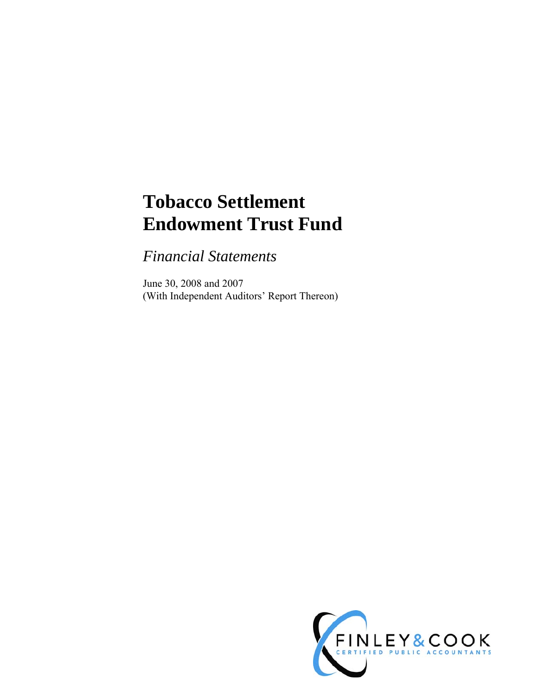# **Tobacco Settlement Endowment Trust Fund**

*Financial Statements* 

June 30, 2008 and 2007 (With Independent Auditors' Report Thereon)

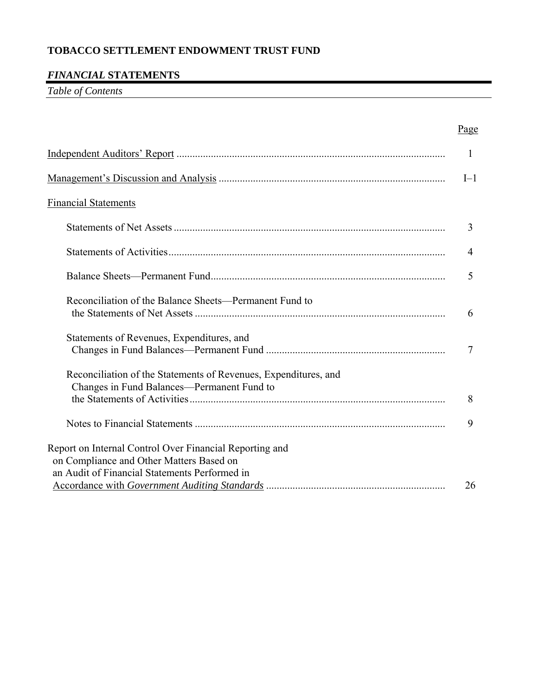# *FINANCIAL* **STATEMENTS**

*Table of Contents* 

|                                                                                                                                                      | Page  |
|------------------------------------------------------------------------------------------------------------------------------------------------------|-------|
|                                                                                                                                                      | 1     |
|                                                                                                                                                      | $I-1$ |
| <b>Financial Statements</b>                                                                                                                          |       |
|                                                                                                                                                      | 3     |
|                                                                                                                                                      | 4     |
|                                                                                                                                                      | 5     |
| Reconciliation of the Balance Sheets—Permanent Fund to                                                                                               | 6     |
| Statements of Revenues, Expenditures, and                                                                                                            | 7     |
| Reconciliation of the Statements of Revenues, Expenditures, and<br>Changes in Fund Balances—Permanent Fund to                                        | 8     |
|                                                                                                                                                      | 9     |
| Report on Internal Control Over Financial Reporting and<br>on Compliance and Other Matters Based on<br>an Audit of Financial Statements Performed in | 26    |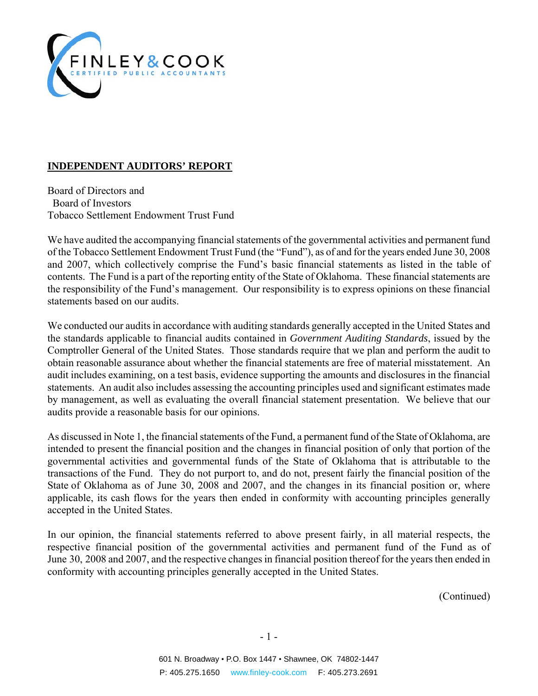

# **INDEPENDENT AUDITORS' REPORT**

Board of Directors and Board of Investors Tobacco Settlement Endowment Trust Fund

We have audited the accompanying financial statements of the governmental activities and permanent fund of the Tobacco Settlement Endowment Trust Fund (the "Fund"), as of and for the years ended June 30, 2008 and 2007, which collectively comprise the Fund's basic financial statements as listed in the table of contents. The Fund is a part of the reporting entity of the State of Oklahoma. These financial statements are the responsibility of the Fund's management. Our responsibility is to express opinions on these financial statements based on our audits.

We conducted our audits in accordance with auditing standards generally accepted in the United States and the standards applicable to financial audits contained in *Government Auditing Standards*, issued by the Comptroller General of the United States. Those standards require that we plan and perform the audit to obtain reasonable assurance about whether the financial statements are free of material misstatement. An audit includes examining, on a test basis, evidence supporting the amounts and disclosures in the financial statements. An audit also includes assessing the accounting principles used and significant estimates made by management, as well as evaluating the overall financial statement presentation. We believe that our audits provide a reasonable basis for our opinions.

As discussed in Note 1, the financial statements of the Fund, a permanent fund of the State of Oklahoma, are intended to present the financial position and the changes in financial position of only that portion of the governmental activities and governmental funds of the State of Oklahoma that is attributable to the transactions of the Fund. They do not purport to, and do not, present fairly the financial position of the State of Oklahoma as of June 30, 2008 and 2007, and the changes in its financial position or, where applicable, its cash flows for the years then ended in conformity with accounting principles generally accepted in the United States.

In our opinion, the financial statements referred to above present fairly, in all material respects, the respective financial position of the governmental activities and permanent fund of the Fund as of June 30, 2008 and 2007, and the respective changes in financial position thereof for the years then ended in conformity with accounting principles generally accepted in the United States.

(Continued)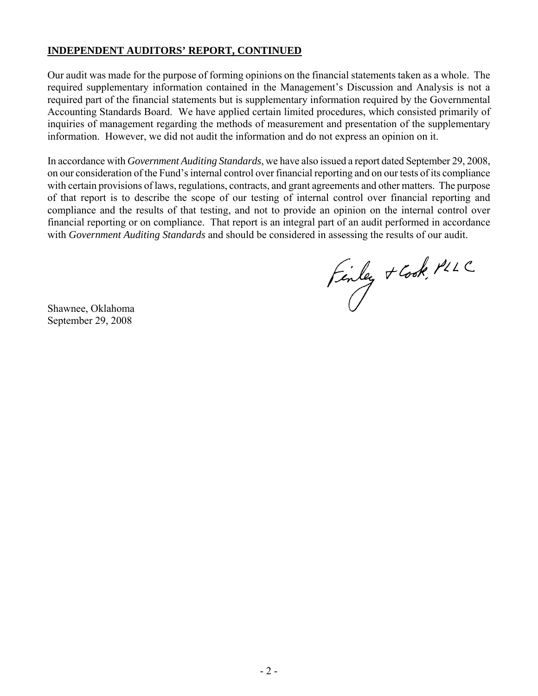# **INDEPENDENT AUDITORS' REPORT, CONTINUED**

Our audit was made for the purpose of forming opinions on the financial statements taken as a whole. The required supplementary information contained in the Management's Discussion and Analysis is not a required part of the financial statements but is supplementary information required by the Governmental Accounting Standards Board. We have applied certain limited procedures, which consisted primarily of inquiries of management regarding the methods of measurement and presentation of the supplementary information. However, we did not audit the information and do not express an opinion on it.

In accordance with *Government Auditing Standards*, we have also issued a report dated September 29, 2008, on our consideration of the Fund's internal control over financial reporting and on our tests of its compliance with certain provisions of laws, regulations, contracts, and grant agreements and other matters. The purpose of that report is to describe the scope of our testing of internal control over financial reporting and compliance and the results of that testing, and not to provide an opinion on the internal control over financial reporting or on compliance. That report is an integral part of an audit performed in accordance with *Government Auditing Standards* and should be considered in assessing the results of our audit.

Finley + Cook, PLLC

Shawnee, Oklahoma September 29, 2008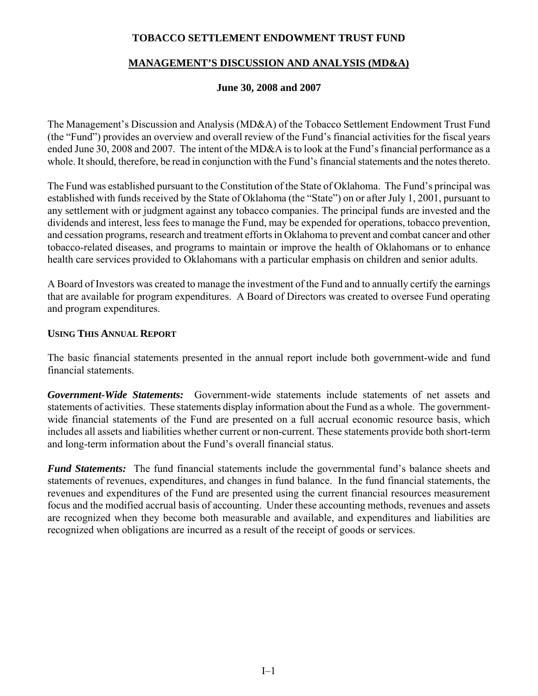# **MANAGEMENT'S DISCUSSION AND ANALYSIS (MD&A)**

# **June 30, 2008 and 2007**

The Management's Discussion and Analysis (MD&A) of the Tobacco Settlement Endowment Trust Fund (the "Fund") provides an overview and overall review of the Fund's financial activities for the fiscal years ended June 30, 2008 and 2007. The intent of the MD&A is to look at the Fund's financial performance as a whole. It should, therefore, be read in conjunction with the Fund's financial statements and the notes thereto.

The Fund was established pursuant to the Constitution of the State of Oklahoma. The Fund's principal was established with funds received by the State of Oklahoma (the "State") on or after July 1, 2001, pursuant to any settlement with or judgment against any tobacco companies. The principal funds are invested and the dividends and interest, less fees to manage the Fund, may be expended for operations, tobacco prevention, and cessation programs, research and treatment efforts in Oklahoma to prevent and combat cancer and other tobacco-related diseases, and programs to maintain or improve the health of Oklahomans or to enhance health care services provided to Oklahomans with a particular emphasis on children and senior adults.

A Board of Investors was created to manage the investment of the Fund and to annually certify the earnings that are available for program expenditures. A Board of Directors was created to oversee Fund operating and program expenditures.

### **USING THIS ANNUAL REPORT**

The basic financial statements presented in the annual report include both government-wide and fund financial statements.

*Government-Wide Statements:* Government-wide statements include statements of net assets and statements of activities. These statements display information about the Fund as a whole. The governmentwide financial statements of the Fund are presented on a full accrual economic resource basis, which includes all assets and liabilities whether current or non-current. These statements provide both short-term and long-term information about the Fund's overall financial status.

*Fund Statements:* The fund financial statements include the governmental fund's balance sheets and statements of revenues, expenditures, and changes in fund balance. In the fund financial statements, the revenues and expenditures of the Fund are presented using the current financial resources measurement focus and the modified accrual basis of accounting. Under these accounting methods, revenues and assets are recognized when they become both measurable and available, and expenditures and liabilities are recognized when obligations are incurred as a result of the receipt of goods or services.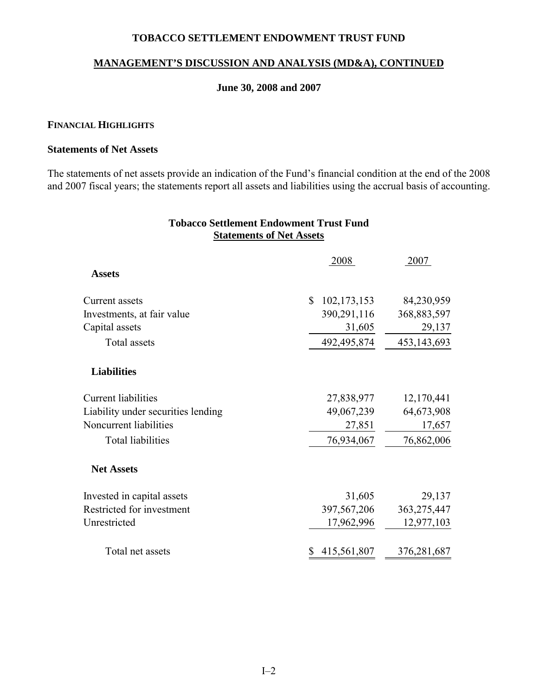#### **MANAGEMENT'S DISCUSSION AND ANALYSIS (MD&A), CONTINUED**

### **June 30, 2008 and 2007**

#### **FINANCIAL HIGHLIGHTS**

#### **Statements of Net Assets**

The statements of net assets provide an indication of the Fund's financial condition at the end of the 2008 and 2007 fiscal years; the statements report all assets and liabilities using the accrual basis of accounting.

| 2008                | 2007          |
|---------------------|---------------|
|                     |               |
| \$<br>102, 173, 153 | 84,230,959    |
| 390,291,116         | 368,883,597   |
| 31,605              | 29,137        |
| 492,495,874         | 453,143,693   |
|                     |               |
| 27,838,977          | 12,170,441    |
| 49,067,239          | 64,673,908    |
| 27,851              | 17,657        |
| 76,934,067          | 76,862,006    |
|                     |               |
| 31,605              | 29,137        |
| 397, 567, 206       | 363, 275, 447 |
| 17,962,996          | 12,977,103    |
| 415,561,807<br>\$   | 376,281,687   |
|                     |               |

# **Tobacco Settlement Endowment Trust Fund Statements of Net Assets**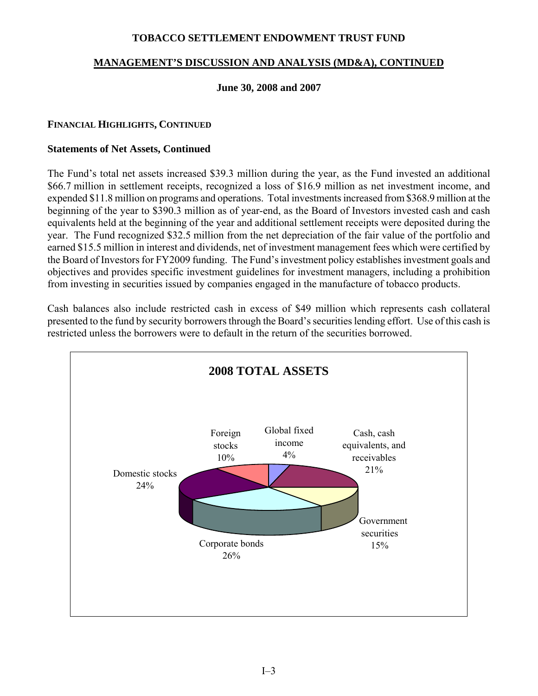### **MANAGEMENT'S DISCUSSION AND ANALYSIS (MD&A), CONTINUED**

### **June 30, 2008 and 2007**

#### **FINANCIAL HIGHLIGHTS, CONTINUED**

#### **Statements of Net Assets, Continued**

The Fund's total net assets increased \$39.3 million during the year, as the Fund invested an additional \$66.7 million in settlement receipts, recognized a loss of \$16.9 million as net investment income, and expended \$11.8 million on programs and operations. Total investments increased from \$368.9 million at the beginning of the year to \$390.3 million as of year-end, as the Board of Investors invested cash and cash equivalents held at the beginning of the year and additional settlement receipts were deposited during the year. The Fund recognized \$32.5 million from the net depreciation of the fair value of the portfolio and earned \$15.5 million in interest and dividends, net of investment management fees which were certified by the Board of Investors for FY2009 funding. The Fund's investment policy establishes investment goals and objectives and provides specific investment guidelines for investment managers, including a prohibition from investing in securities issued by companies engaged in the manufacture of tobacco products.

Cash balances also include restricted cash in excess of \$49 million which represents cash collateral presented to the fund by security borrowers through the Board's securities lending effort. Use of this cash is restricted unless the borrowers were to default in the return of the securities borrowed.

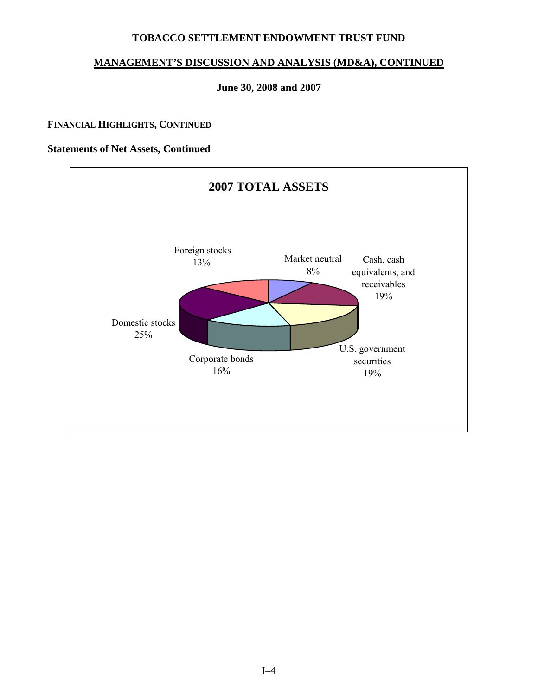# **MANAGEMENT'S DISCUSSION AND ANALYSIS (MD&A), CONTINUED**

# **June 30, 2008 and 2007**

#### **FINANCIAL HIGHLIGHTS, CONTINUED**

### **Statements of Net Assets, Continued**

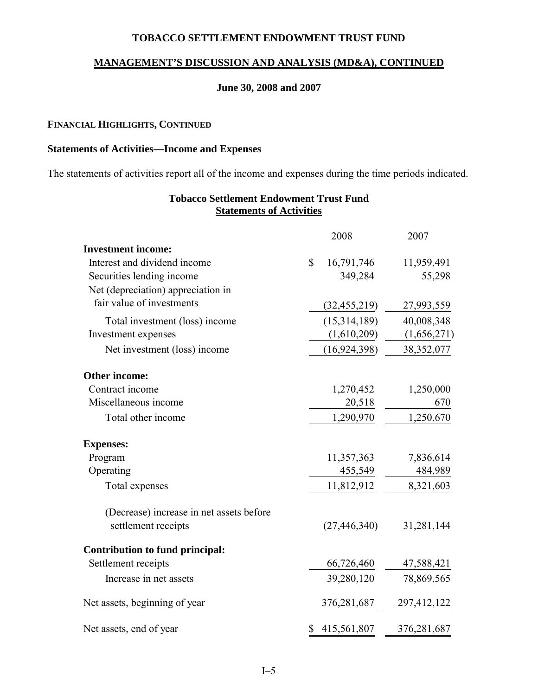# **MANAGEMENT'S DISCUSSION AND ANALYSIS (MD&A), CONTINUED**

### **June 30, 2008 and 2007**

#### **FINANCIAL HIGHLIGHTS, CONTINUED**

# **Statements of Activities—Income and Expenses**

The statements of activities report all of the income and expenses during the time periods indicated.

|                                                           | 2008             | 2007        |
|-----------------------------------------------------------|------------------|-------------|
| <b>Investment income:</b><br>Interest and dividend income | \$<br>16,791,746 | 11,959,491  |
| Securities lending income                                 | 349,284          | 55,298      |
| Net (depreciation) appreciation in                        |                  |             |
| fair value of investments                                 | (32, 455, 219)   | 27,993,559  |
|                                                           |                  |             |
| Total investment (loss) income                            | (15,314,189)     | 40,008,348  |
| Investment expenses                                       | (1,610,209)      | (1,656,271) |
| Net investment (loss) income                              | (16, 924, 398)   | 38,352,077  |
| Other income:                                             |                  |             |
| Contract income                                           | 1,270,452        | 1,250,000   |
| Miscellaneous income                                      | 20,518           | 670         |
| Total other income                                        | 1,290,970        | 1,250,670   |
| <b>Expenses:</b>                                          |                  |             |
| Program                                                   | 11,357,363       | 7,836,614   |
| Operating                                                 | 455,549          | 484,989     |
| Total expenses                                            | 11,812,912       | 8,321,603   |
| (Decrease) increase in net assets before                  |                  |             |
| settlement receipts                                       | (27, 446, 340)   | 31,281,144  |
| Contribution to fund principal:                           |                  |             |
| Settlement receipts                                       | 66,726,460       | 47,588,421  |
| Increase in net assets                                    | 39,280,120       | 78,869,565  |
| Net assets, beginning of year                             | 376,281,687      | 297,412,122 |
| Net assets, end of year                                   | \$415,561,807    | 376,281,687 |

# **Tobacco Settlement Endowment Trust Fund Statements of Activities**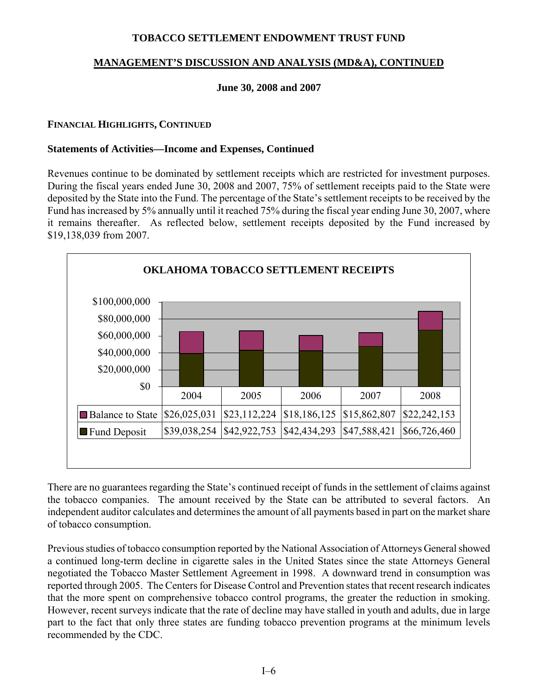# **MANAGEMENT'S DISCUSSION AND ANALYSIS (MD&A), CONTINUED**

# **June 30, 2008 and 2007**

### **FINANCIAL HIGHLIGHTS, CONTINUED**

### **Statements of Activities—Income and Expenses, Continued**

Revenues continue to be dominated by settlement receipts which are restricted for investment purposes. During the fiscal years ended June 30, 2008 and 2007, 75% of settlement receipts paid to the State were deposited by the State into the Fund. The percentage of the State's settlement receipts to be received by the Fund has increased by 5% annually until it reached 75% during the fiscal year ending June 30, 2007, where it remains thereafter. As reflected below, settlement receipts deposited by the Fund increased by \$19,138,039 from 2007.



There are no guarantees regarding the State's continued receipt of funds in the settlement of claims against the tobacco companies. The amount received by the State can be attributed to several factors. An independent auditor calculates and determines the amount of all payments based in part on the market share of tobacco consumption.

Previous studies of tobacco consumption reported by the National Association of Attorneys General showed a continued long-term decline in cigarette sales in the United States since the state Attorneys General negotiated the Tobacco Master Settlement Agreement in 1998. A downward trend in consumption was reported through 2005. The Centers for Disease Control and Prevention states that recent research indicates that the more spent on comprehensive tobacco control programs, the greater the reduction in smoking. However, recent surveys indicate that the rate of decline may have stalled in youth and adults, due in large part to the fact that only three states are funding tobacco prevention programs at the minimum levels recommended by the CDC.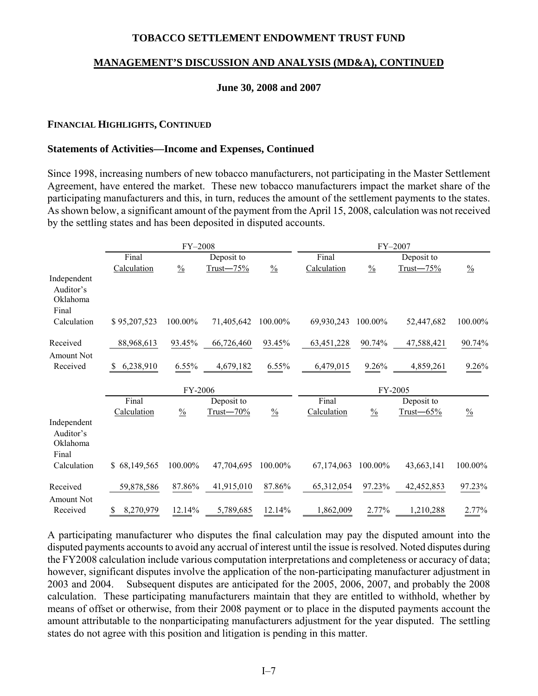#### **MANAGEMENT'S DISCUSSION AND ANALYSIS (MD&A), CONTINUED**

#### **June 30, 2008 and 2007**

#### **FINANCIAL HIGHLIGHTS, CONTINUED**

#### **Statements of Activities—Income and Expenses, Continued**

Since 1998, increasing numbers of new tobacco manufacturers, not participating in the Master Settlement Agreement, have entered the market. These new tobacco manufacturers impact the market share of the participating manufacturers and this, in turn, reduces the amount of the settlement payments to the states. As shown below, a significant amount of the payment from the April 15, 2008, calculation was not received by the settling states and has been deposited in disputed accounts.

|                                               |                           | FY-2008       |               |               |             |               | FY-2007       |               |
|-----------------------------------------------|---------------------------|---------------|---------------|---------------|-------------|---------------|---------------|---------------|
|                                               | Final                     |               | Deposit to    |               | Final       |               | Deposit to    |               |
|                                               | Calculation               | $\frac{0}{0}$ | $Trust - 75%$ | $\frac{0}{0}$ | Calculation | $\frac{0}{0}$ | $Trust - 75%$ | $\frac{0}{0}$ |
| Independent<br>Auditor's<br>Oklahoma<br>Final |                           |               |               |               |             |               |               |               |
| Calculation                                   | \$95,207,523              | 100.00%       | 71,405,642    | 100.00%       | 69,930,243  | 100.00%       | 52,447,682    | 100.00%       |
| Received                                      | 88,968,613                | 93.45%        | 66,726,460    | 93.45%        | 63,451,228  | 90.74%        | 47,588,421    | 90.74%        |
| Amount Not<br>Received                        | 6,238,910<br><sup>S</sup> | $6.55\%$      | 4,679,182     | 6.55%         | 6,479,015   | 9.26%         | 4,859,261     | 9.26%         |
|                                               |                           | FY-2006       |               |               |             |               | FY-2005       |               |
|                                               | Final                     |               | Deposit to    |               | Final       |               | Deposit to    |               |
| Independent<br>Auditor's<br>Oklahoma<br>Final | Calculation               | $\frac{0}{0}$ | $Trust - 70%$ | $\frac{0}{0}$ | Calculation | $\frac{0}{0}$ | $Trust - 65%$ | $\frac{0}{0}$ |
| Calculation                                   | \$68,149,565              | 100.00%       | 47,704,695    | 100.00%       | 67,174,063  | 100.00%       | 43,663,141    | 100.00%       |
| Received<br>Amount Not                        | 59,878,586                | 87.86%        | 41,915,010    | 87.86%        | 65,312,054  | 97.23%        | 42,452,853    | 97.23%        |
|                                               |                           |               |               |               |             |               |               |               |

A participating manufacturer who disputes the final calculation may pay the disputed amount into the disputed payments accounts to avoid any accrual of interest until the issue is resolved. Noted disputes during the FY2008 calculation include various computation interpretations and completeness or accuracy of data; however, significant disputes involve the application of the non-participating manufacturer adjustment in 2003 and 2004. Subsequent disputes are anticipated for the 2005, 2006, 2007, and probably the 2008 calculation. These participating manufacturers maintain that they are entitled to withhold, whether by means of offset or otherwise, from their 2008 payment or to place in the disputed payments account the amount attributable to the nonparticipating manufacturers adjustment for the year disputed. The settling states do not agree with this position and litigation is pending in this matter.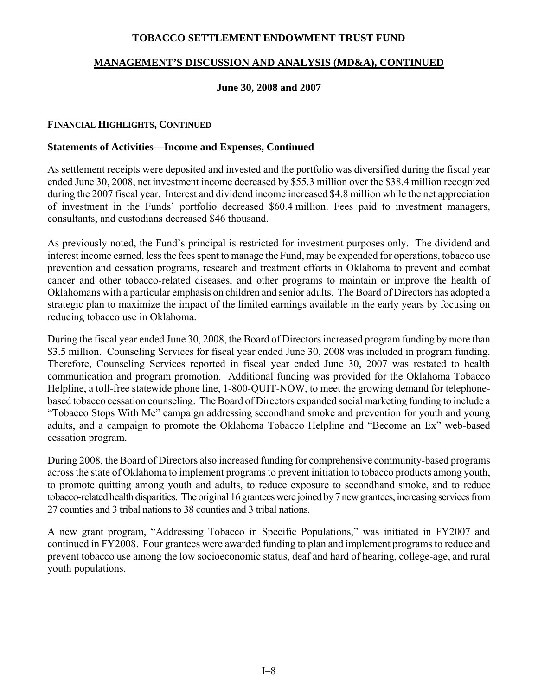### **MANAGEMENT'S DISCUSSION AND ANALYSIS (MD&A), CONTINUED**

### **June 30, 2008 and 2007**

#### **FINANCIAL HIGHLIGHTS, CONTINUED**

#### **Statements of Activities—Income and Expenses, Continued**

As settlement receipts were deposited and invested and the portfolio was diversified during the fiscal year ended June 30, 2008, net investment income decreased by \$55.3 million over the \$38.4 million recognized during the 2007 fiscal year. Interest and dividend income increased \$4.8 million while the net appreciation of investment in the Funds' portfolio decreased \$60.4 million. Fees paid to investment managers, consultants, and custodians decreased \$46 thousand.

As previously noted, the Fund's principal is restricted for investment purposes only. The dividend and interest income earned, less the fees spent to manage the Fund, may be expended for operations, tobacco use prevention and cessation programs, research and treatment efforts in Oklahoma to prevent and combat cancer and other tobacco-related diseases, and other programs to maintain or improve the health of Oklahomans with a particular emphasis on children and senior adults. The Board of Directors has adopted a strategic plan to maximize the impact of the limited earnings available in the early years by focusing on reducing tobacco use in Oklahoma.

During the fiscal year ended June 30, 2008, the Board of Directors increased program funding by more than \$3.5 million. Counseling Services for fiscal year ended June 30, 2008 was included in program funding. Therefore, Counseling Services reported in fiscal year ended June 30, 2007 was restated to health communication and program promotion. Additional funding was provided for the Oklahoma Tobacco Helpline, a toll-free statewide phone line, 1-800-QUIT-NOW, to meet the growing demand for telephonebased tobacco cessation counseling. The Board of Directors expanded social marketing funding to include a "Tobacco Stops With Me" campaign addressing secondhand smoke and prevention for youth and young adults, and a campaign to promote the Oklahoma Tobacco Helpline and "Become an Ex" web-based cessation program.

During 2008, the Board of Directors also increased funding for comprehensive community-based programs across the state of Oklahoma to implement programs to prevent initiation to tobacco products among youth, to promote quitting among youth and adults, to reduce exposure to secondhand smoke, and to reduce tobacco-related health disparities. The original 16 grantees were joined by 7 new grantees, increasing services from 27 counties and 3 tribal nations to 38 counties and 3 tribal nations.

A new grant program, "Addressing Tobacco in Specific Populations," was initiated in FY2007 and continued in FY2008. Four grantees were awarded funding to plan and implement programs to reduce and prevent tobacco use among the low socioeconomic status, deaf and hard of hearing, college-age, and rural youth populations.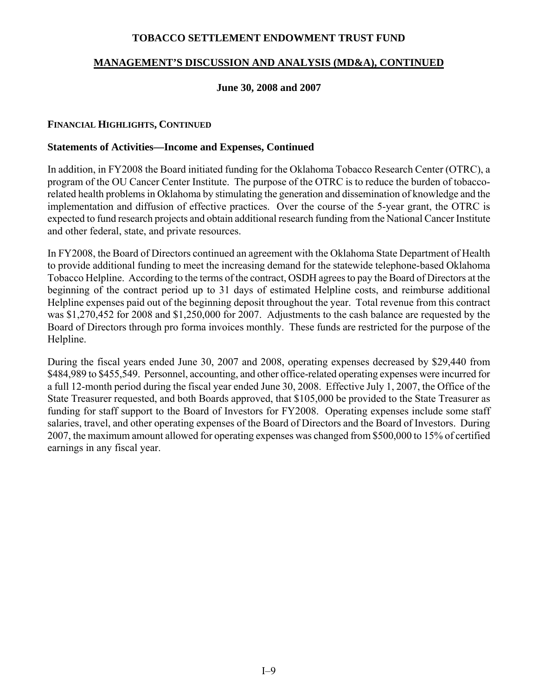### **MANAGEMENT'S DISCUSSION AND ANALYSIS (MD&A), CONTINUED**

### **June 30, 2008 and 2007**

#### **FINANCIAL HIGHLIGHTS, CONTINUED**

#### **Statements of Activities—Income and Expenses, Continued**

In addition, in FY2008 the Board initiated funding for the Oklahoma Tobacco Research Center (OTRC), a program of the OU Cancer Center Institute. The purpose of the OTRC is to reduce the burden of tobaccorelated health problems in Oklahoma by stimulating the generation and dissemination of knowledge and the implementation and diffusion of effective practices. Over the course of the 5-year grant, the OTRC is expected to fund research projects and obtain additional research funding from the National Cancer Institute and other federal, state, and private resources.

In FY2008, the Board of Directors continued an agreement with the Oklahoma State Department of Health to provide additional funding to meet the increasing demand for the statewide telephone-based Oklahoma Tobacco Helpline. According to the terms of the contract, OSDH agrees to pay the Board of Directors at the beginning of the contract period up to 31 days of estimated Helpline costs, and reimburse additional Helpline expenses paid out of the beginning deposit throughout the year. Total revenue from this contract was \$1,270,452 for 2008 and \$1,250,000 for 2007. Adjustments to the cash balance are requested by the Board of Directors through pro forma invoices monthly. These funds are restricted for the purpose of the Helpline.

During the fiscal years ended June 30, 2007 and 2008, operating expenses decreased by \$29,440 from \$484,989 to \$455,549. Personnel, accounting, and other office-related operating expenses were incurred for a full 12-month period during the fiscal year ended June 30, 2008. Effective July 1, 2007, the Office of the State Treasurer requested, and both Boards approved, that \$105,000 be provided to the State Treasurer as funding for staff support to the Board of Investors for FY2008. Operating expenses include some staff salaries, travel, and other operating expenses of the Board of Directors and the Board of Investors. During 2007, the maximum amount allowed for operating expenses was changed from \$500,000 to 15% of certified earnings in any fiscal year.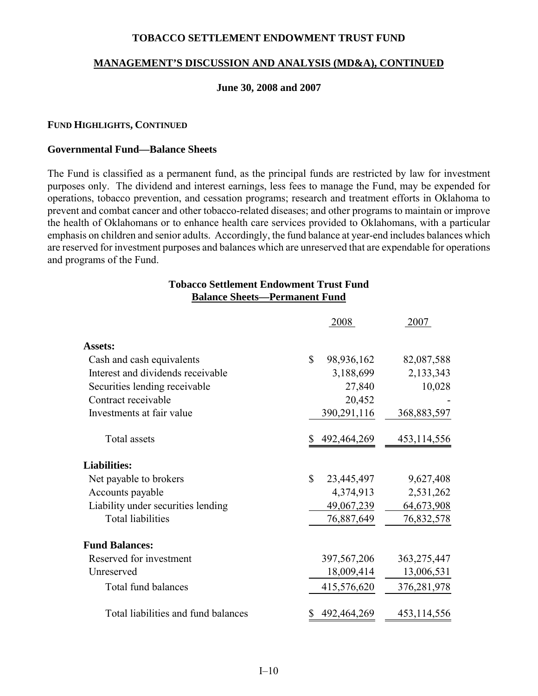#### **MANAGEMENT'S DISCUSSION AND ANALYSIS (MD&A), CONTINUED**

#### **June 30, 2008 and 2007**

#### **FUND HIGHLIGHTS, CONTINUED**

#### **Governmental Fund—Balance Sheets**

The Fund is classified as a permanent fund, as the principal funds are restricted by law for investment purposes only. The dividend and interest earnings, less fees to manage the Fund, may be expended for operations, tobacco prevention, and cessation programs; research and treatment efforts in Oklahoma to prevent and combat cancer and other tobacco-related diseases; and other programs to maintain or improve the health of Oklahomans or to enhance health care services provided to Oklahomans, with a particular emphasis on children and senior adults. Accordingly, the fund balance at year-end includes balances which are reserved for investment purposes and balances which are unreserved that are expendable for operations and programs of the Fund.

# **Tobacco Settlement Endowment Trust Fund Balance Sheets—Permanent Fund**

|                                     | 2008             | 2007          |
|-------------------------------------|------------------|---------------|
| <b>Assets:</b>                      |                  |               |
| Cash and cash equivalents           | \$<br>98,936,162 | 82,087,588    |
| Interest and dividends receivable   | 3,188,699        | 2,133,343     |
| Securities lending receivable       | 27,840           | 10,028        |
| Contract receivable                 | 20,452           |               |
| Investments at fair value           | 390,291,116      | 368,883,597   |
| Total assets                        | 492,464,269      | 453,114,556   |
| <b>Liabilities:</b>                 |                  |               |
| Net payable to brokers              | \$<br>23,445,497 | 9,627,408     |
| Accounts payable                    | 4,374,913        | 2,531,262     |
| Liability under securities lending  | 49,067,239       | 64,673,908    |
| <b>Total liabilities</b>            | 76,887,649       | 76,832,578    |
| <b>Fund Balances:</b>               |                  |               |
| Reserved for investment             | 397, 567, 206    | 363, 275, 447 |
| Unreserved                          | 18,009,414       | 13,006,531    |
| Total fund balances                 | 415,576,620      | 376,281,978   |
| Total liabilities and fund balances | 492,464,269      | 453, 114, 556 |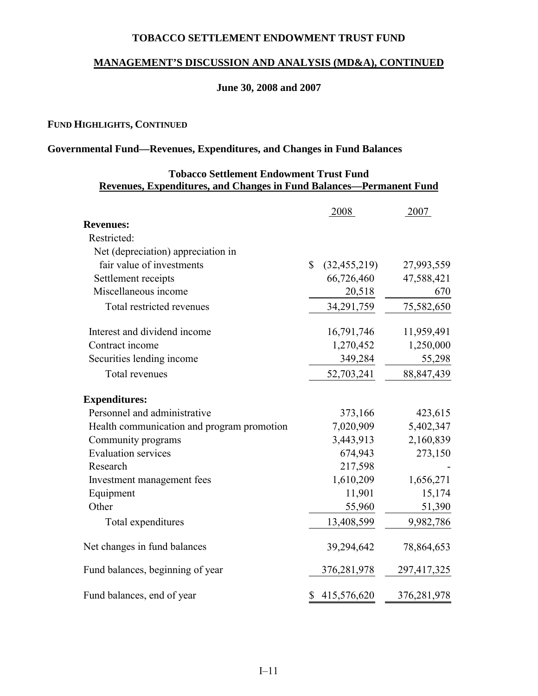# **MANAGEMENT'S DISCUSSION AND ANALYSIS (MD&A), CONTINUED**

### **June 30, 2008 and 2007**

#### **FUND HIGHLIGHTS, CONTINUED**

### **Governmental Fund—Revenues, Expenditures, and Changes in Fund Balances**

#### **Tobacco Settlement Endowment Trust Fund Revenues, Expenditures, and Changes in Fund Balances—Permanent Fund**

|                                            | 2008                           | $-2007$      |
|--------------------------------------------|--------------------------------|--------------|
| <b>Revenues:</b>                           |                                |              |
| Restricted:                                |                                |              |
| Net (depreciation) appreciation in         |                                |              |
| fair value of investments                  | $\mathbb{S}$<br>(32, 455, 219) | 27,993,559   |
| Settlement receipts                        | 66,726,460                     | 47,588,421   |
| Miscellaneous income                       | 20,518                         | 670          |
| Total restricted revenues                  | 34,291,759                     | 75,582,650   |
| Interest and dividend income               | 16,791,746                     | 11,959,491   |
| Contract income                            | 1,270,452                      | 1,250,000    |
| Securities lending income                  | 349,284                        | 55,298       |
| Total revenues                             | 52,703,241                     | 88, 847, 439 |
| <b>Expenditures:</b>                       |                                |              |
| Personnel and administrative               | 373,166                        | 423,615      |
| Health communication and program promotion | 7,020,909                      | 5,402,347    |
| Community programs                         | 3,443,913                      | 2,160,839    |
| <b>Evaluation services</b>                 | 674,943                        | 273,150      |
| Research                                   | 217,598                        |              |
| Investment management fees                 | 1,610,209                      | 1,656,271    |
| Equipment                                  | 11,901                         | 15,174       |
| Other                                      | 55,960                         | 51,390       |
| Total expenditures                         | 13,408,599                     | 9,982,786    |
| Net changes in fund balances               | 39,294,642                     | 78,864,653   |
| Fund balances, beginning of year           | 376,281,978                    | 297,417,325  |
| Fund balances, end of year                 | \$415,576,620                  | 376,281,978  |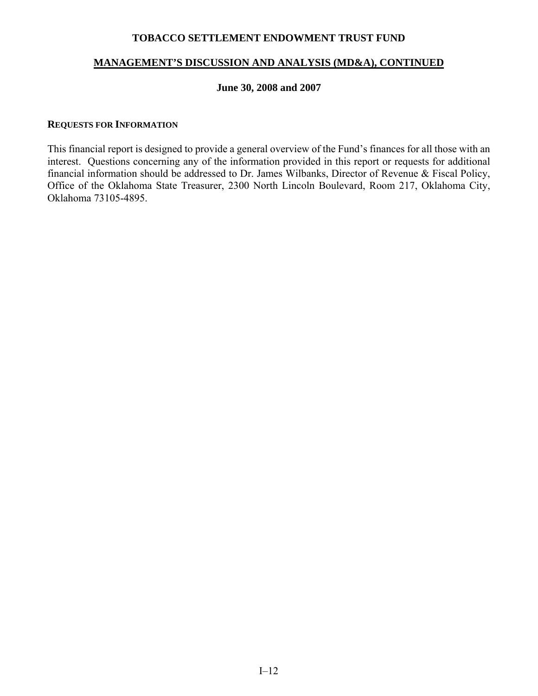### **MANAGEMENT'S DISCUSSION AND ANALYSIS (MD&A), CONTINUED**

### **June 30, 2008 and 2007**

#### **REQUESTS FOR INFORMATION**

This financial report is designed to provide a general overview of the Fund's finances for all those with an interest. Questions concerning any of the information provided in this report or requests for additional financial information should be addressed to Dr. James Wilbanks, Director of Revenue & Fiscal Policy, Office of the Oklahoma State Treasurer, 2300 North Lincoln Boulevard, Room 217, Oklahoma City, Oklahoma 73105-4895.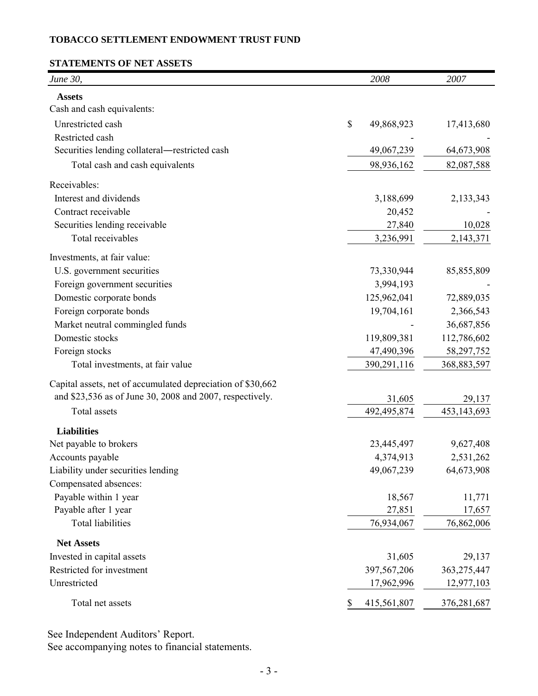# **STATEMENTS OF NET ASSETS**

| June 30,                                                    |                           | 2008        | 2007          |
|-------------------------------------------------------------|---------------------------|-------------|---------------|
| <b>Assets</b>                                               |                           |             |               |
| Cash and cash equivalents:                                  |                           |             |               |
| Unrestricted cash                                           | $\boldsymbol{\mathsf{S}}$ | 49,868,923  | 17,413,680    |
| Restricted cash                                             |                           |             |               |
| Securities lending collateral-restricted cash               |                           | 49,067,239  | 64,673,908    |
| Total cash and cash equivalents                             |                           | 98,936,162  | 82,087,588    |
| Receivables:                                                |                           |             |               |
| Interest and dividends                                      |                           | 3,188,699   | 2,133,343     |
| Contract receivable                                         |                           | 20,452      |               |
| Securities lending receivable                               |                           | 27,840      | 10,028        |
| Total receivables                                           |                           | 3,236,991   | 2,143,371     |
| Investments, at fair value:                                 |                           |             |               |
| U.S. government securities                                  |                           | 73,330,944  | 85,855,809    |
| Foreign government securities                               |                           | 3,994,193   |               |
| Domestic corporate bonds                                    |                           | 125,962,041 | 72,889,035    |
| Foreign corporate bonds                                     |                           | 19,704,161  | 2,366,543     |
| Market neutral commingled funds                             |                           |             | 36,687,856    |
| Domestic stocks                                             |                           | 119,809,381 | 112,786,602   |
| Foreign stocks                                              |                           | 47,490,396  | 58, 297, 752  |
| Total investments, at fair value                            |                           | 390,291,116 | 368,883,597   |
| Capital assets, net of accumulated depreciation of \$30,662 |                           |             |               |
| and \$23,536 as of June 30, 2008 and 2007, respectively.    |                           | 31,605      | 29,137        |
| Total assets                                                |                           | 492,495,874 | 453, 143, 693 |
| <b>Liabilities</b>                                          |                           |             |               |
| Net payable to brokers                                      |                           | 23,445,497  | 9,627,408     |
| Accounts payable                                            |                           | 4,374,913   | 2,531,262     |
| Liability under securities lending                          |                           | 49,067,239  | 64,673,908    |
| Compensated absences:                                       |                           |             |               |
| Payable within 1 year                                       |                           | 18,567      | 11,771        |
| Payable after 1 year                                        |                           | 27,851      | 17,657        |
| <b>Total liabilities</b>                                    |                           | 76,934,067  | 76,862,006    |
| <b>Net Assets</b>                                           |                           |             |               |
| Invested in capital assets                                  |                           | 31,605      | 29,137        |
| Restricted for investment                                   |                           | 397,567,206 | 363,275,447   |
| Unrestricted                                                |                           | 17,962,996  | 12,977,103    |
| Total net assets                                            | \$                        | 415,561,807 | 376,281,687   |

See Independent Auditors' Report. See accompanying notes to financial statements.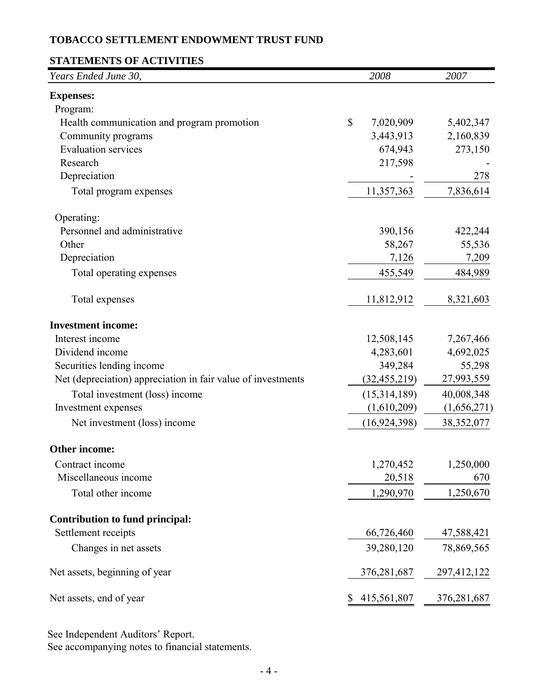# **STATEMENTS OF ACTIVITIES**

| Years Ended June 30,                                         | 2008              | 2007           |
|--------------------------------------------------------------|-------------------|----------------|
| <b>Expenses:</b>                                             |                   |                |
| Program:                                                     |                   |                |
| Health communication and program promotion                   | \$<br>7,020,909   | 5,402,347      |
| Community programs                                           | 3,443,913         | 2,160,839      |
| <b>Evaluation services</b>                                   | 674,943           | 273,150        |
| Research                                                     | 217,598           |                |
| Depreciation                                                 |                   | 278            |
| Total program expenses                                       | 11,357,363        | 7,836,614      |
| Operating:                                                   |                   |                |
| Personnel and administrative                                 | 390,156           | 422,244        |
| Other                                                        | 58,267            | 55,536         |
| Depreciation                                                 |                   | 7,209<br>7,126 |
| Total operating expenses                                     | 455,549           | 484,989        |
| Total expenses                                               | 11,812,912        | 8,321,603      |
| <b>Investment income:</b>                                    |                   |                |
| Interest income                                              | 12,508,145        | 7,267,466      |
| Dividend income                                              | 4,283,601         | 4,692,025      |
| Securities lending income                                    | 349,284           | 55,298         |
| Net (depreciation) appreciation in fair value of investments | (32, 455, 219)    | 27,993,559     |
| Total investment (loss) income                               | (15,314,189)      | 40,008,348     |
| Investment expenses                                          | (1,610,209)       | (1,656,271)    |
| Net investment (loss) income                                 | (16, 924, 398)    | 38,352,077     |
| Other income:                                                |                   |                |
| Contract income                                              | 1,270,452         | 1,250,000      |
| Miscellaneous income                                         |                   | 20,518<br>670  |
| Total other income                                           | 1,290,970         | 1,250,670      |
| Contribution to fund principal:                              |                   |                |
| Settlement receipts                                          | 66,726,460        | 47,588,421     |
| Changes in net assets                                        | 39,280,120        | 78,869,565     |
| Net assets, beginning of year                                | 376,281,687       | 297,412,122    |
| Net assets, end of year                                      | 415,561,807<br>\$ | 376,281,687    |

See Independent Auditors' Report.

See accompanying notes to financial statements.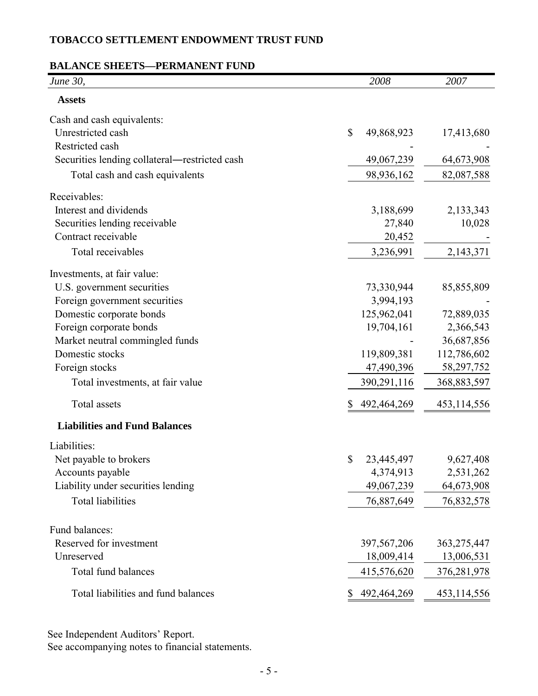# **BALANCE SHEETS—PERMANENT FUND**

| <i>June 30,</i>                               | 2008              | 2007          |
|-----------------------------------------------|-------------------|---------------|
| <b>Assets</b>                                 |                   |               |
| Cash and cash equivalents:                    |                   |               |
| Unrestricted cash                             | \$<br>49,868,923  | 17,413,680    |
| Restricted cash                               |                   |               |
| Securities lending collateral—restricted cash | 49,067,239        | 64,673,908    |
| Total cash and cash equivalents               | 98,936,162        | 82,087,588    |
| Receivables:                                  |                   |               |
| Interest and dividends                        | 3,188,699         | 2,133,343     |
| Securities lending receivable                 | 27,840            | 10,028        |
| Contract receivable                           | 20,452            |               |
| Total receivables                             | 3,236,991         | 2,143,371     |
| Investments, at fair value:                   |                   |               |
| U.S. government securities                    | 73,330,944        | 85,855,809    |
| Foreign government securities                 | 3,994,193         |               |
| Domestic corporate bonds                      | 125,962,041       | 72,889,035    |
| Foreign corporate bonds                       | 19,704,161        | 2,366,543     |
| Market neutral commingled funds               |                   | 36,687,856    |
| Domestic stocks                               | 119,809,381       | 112,786,602   |
| Foreign stocks                                | 47,490,396        | 58,297,752    |
| Total investments, at fair value              | 390,291,116       | 368,883,597   |
| Total assets                                  | 492,464,269<br>\$ | 453,114,556   |
| <b>Liabilities and Fund Balances</b>          |                   |               |
| Liabilities:                                  |                   |               |
| Net payable to brokers                        | \$<br>23,445,497  | 9,627,408     |
| Accounts payable                              | 4,374,913         | 2,531,262     |
| Liability under securities lending            | 49,067,239        | 64,673,908    |
| Total liabilities                             | 76,887,649        | 76,832,578    |
| Fund balances:                                |                   |               |
| Reserved for investment                       | 397,567,206       | 363, 275, 447 |
| Unreserved                                    | 18,009,414        | 13,006,531    |
| Total fund balances                           | 415,576,620       | 376,281,978   |
| Total liabilities and fund balances           | 492,464,269<br>\$ | 453,114,556   |

See Independent Auditors' Report.

See accompanying notes to financial statements.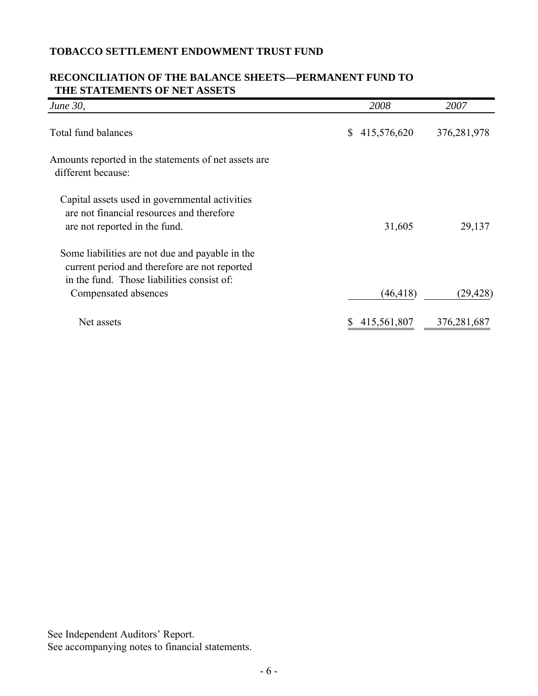# **RECONCILIATION OF THE BALANCE SHEETS—PERMANENT FUND TO THE STATEMENTS OF NET ASSETS**

| June 30,                                                                                                                                       | 2008                        | 2007        |
|------------------------------------------------------------------------------------------------------------------------------------------------|-----------------------------|-------------|
| Total fund balances                                                                                                                            | 415,576,620<br>$\mathbb{S}$ | 376,281,978 |
| Amounts reported in the statements of net assets are<br>different because:                                                                     |                             |             |
| Capital assets used in governmental activities<br>are not financial resources and therefore<br>are not reported in the fund.                   | 31,605                      | 29,137      |
| Some liabilities are not due and payable in the<br>current period and therefore are not reported<br>in the fund. Those liabilities consist of: |                             |             |
| Compensated absences                                                                                                                           | (46, 418)                   | (29, 428)   |
| Net assets                                                                                                                                     | 415,561,807                 | 376,281,687 |

See Independent Auditors' Report. See accompanying notes to financial statements.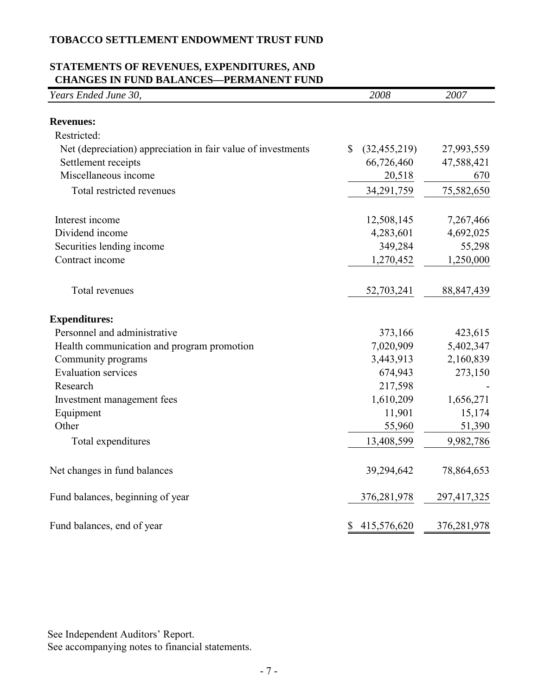# **STATEMENTS OF REVENUES, EXPENDITURES, AND CHANGES IN FUND BALANCES—PERMANENT FUND**

| Years Ended June 30,                                         | 2008                          | 2007          |
|--------------------------------------------------------------|-------------------------------|---------------|
| <b>Revenues:</b>                                             |                               |               |
| Restricted:                                                  |                               |               |
| Net (depreciation) appreciation in fair value of investments | $\mathbf S$<br>(32, 455, 219) | 27,993,559    |
| Settlement receipts                                          | 66,726,460                    | 47,588,421    |
| Miscellaneous income                                         | 20,518                        | 670           |
| Total restricted revenues                                    | 34,291,759                    | 75,582,650    |
| Interest income                                              | 12,508,145                    | 7,267,466     |
| Dividend income                                              | 4,283,601                     | 4,692,025     |
| Securities lending income                                    | 349,284                       | 55,298        |
| Contract income                                              | 1,270,452                     | 1,250,000     |
| Total revenues                                               | 52,703,241                    | 88, 847, 439  |
| <b>Expenditures:</b>                                         |                               |               |
| Personnel and administrative                                 | 373,166                       | 423,615       |
| Health communication and program promotion                   | 7,020,909                     | 5,402,347     |
| Community programs                                           | 3,443,913                     | 2,160,839     |
| <b>Evaluation services</b>                                   | 674,943                       | 273,150       |
| Research                                                     | 217,598                       |               |
| Investment management fees                                   | 1,610,209                     | 1,656,271     |
| Equipment                                                    | 11,901                        | 15,174        |
| Other                                                        | 55,960                        | 51,390        |
| Total expenditures                                           | 13,408,599                    | 9,982,786     |
| Net changes in fund balances                                 | 39,294,642                    | 78,864,653    |
| Fund balances, beginning of year                             | 376,281,978                   | 297,417,325   |
| Fund balances, end of year                                   | 415,576,620<br>Y.             | 376, 281, 978 |

See Independent Auditors' Report.

See accompanying notes to financial statements.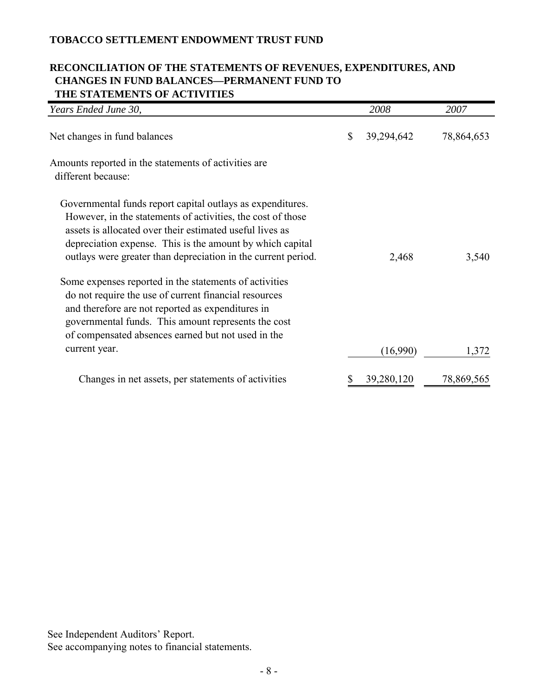# **RECONCILIATION OF THE STATEMENTS OF REVENUES, EXPENDITURES, AND CHANGES IN FUND BALANCES—PERMANENT FUND TO THE STATEMENTS OF ACTIVITIES**

| Years Ended June 30,                                                                                                                                                                                                                                                                                                | 2008             | 2007       |
|---------------------------------------------------------------------------------------------------------------------------------------------------------------------------------------------------------------------------------------------------------------------------------------------------------------------|------------------|------------|
| Net changes in fund balances                                                                                                                                                                                                                                                                                        | \$<br>39,294,642 | 78,864,653 |
| Amounts reported in the statements of activities are.<br>different because:                                                                                                                                                                                                                                         |                  |            |
| Governmental funds report capital outlays as expenditures.<br>However, in the statements of activities, the cost of those<br>assets is allocated over their estimated useful lives as<br>depreciation expense. This is the amount by which capital<br>outlays were greater than depreciation in the current period. | 2,468            | 3,540      |
| Some expenses reported in the statements of activities<br>do not require the use of current financial resources<br>and therefore are not reported as expenditures in<br>governmental funds. This amount represents the cost<br>of compensated absences earned but not used in the                                   |                  |            |
| current year.                                                                                                                                                                                                                                                                                                       | (16,990)         | 1,372      |
| Changes in net assets, per statements of activities                                                                                                                                                                                                                                                                 | 39,280,120       | 78,869,565 |

See Independent Auditors' Report. See accompanying notes to financial statements.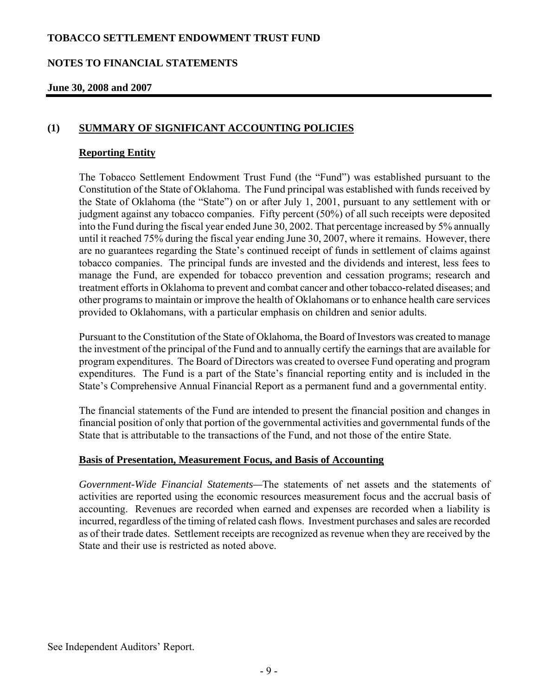### **NOTES TO FINANCIAL STATEMENTS**

#### **June 30, 2008 and 2007**

#### **(1) SUMMARY OF SIGNIFICANT ACCOUNTING POLICIES**

#### **Reporting Entity**

The Tobacco Settlement Endowment Trust Fund (the "Fund") was established pursuant to the Constitution of the State of Oklahoma. The Fund principal was established with funds received by the State of Oklahoma (the "State") on or after July 1, 2001, pursuant to any settlement with or judgment against any tobacco companies. Fifty percent (50%) of all such receipts were deposited into the Fund during the fiscal year ended June 30, 2002. That percentage increased by 5% annually until it reached 75% during the fiscal year ending June 30, 2007, where it remains. However, there are no guarantees regarding the State's continued receipt of funds in settlement of claims against tobacco companies. The principal funds are invested and the dividends and interest, less fees to manage the Fund, are expended for tobacco prevention and cessation programs; research and treatment efforts in Oklahoma to prevent and combat cancer and other tobacco-related diseases; and other programs to maintain or improve the health of Oklahomans or to enhance health care services provided to Oklahomans, with a particular emphasis on children and senior adults.

Pursuant to the Constitution of the State of Oklahoma, the Board of Investors was created to manage the investment of the principal of the Fund and to annually certify the earnings that are available for program expenditures. The Board of Directors was created to oversee Fund operating and program expenditures. The Fund is a part of the State's financial reporting entity and is included in the State's Comprehensive Annual Financial Report as a permanent fund and a governmental entity.

The financial statements of the Fund are intended to present the financial position and changes in financial position of only that portion of the governmental activities and governmental funds of the State that is attributable to the transactions of the Fund, and not those of the entire State.

#### **Basis of Presentation, Measurement Focus, and Basis of Accounting**

*Government-Wide Financial Statements—*The statements of net assets and the statements of activities are reported using the economic resources measurement focus and the accrual basis of accounting. Revenues are recorded when earned and expenses are recorded when a liability is incurred, regardless of the timing of related cash flows. Investment purchases and sales are recorded as of their trade dates. Settlement receipts are recognized as revenue when they are received by the State and their use is restricted as noted above.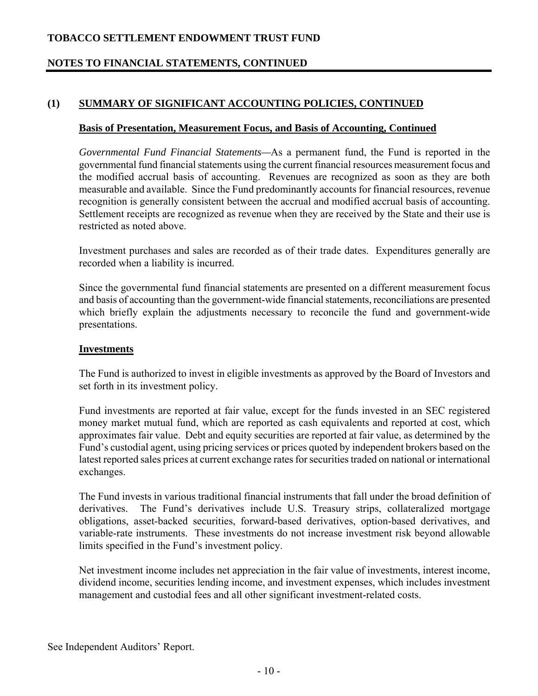# **NOTES TO FINANCIAL STATEMENTS, CONTINUED**

# **(1) SUMMARY OF SIGNIFICANT ACCOUNTING POLICIES, CONTINUED**

### **Basis of Presentation, Measurement Focus, and Basis of Accounting, Continued**

*Governmental Fund Financial Statements—*As a permanent fund, the Fund is reported in the governmental fund financial statements using the current financial resources measurement focus and the modified accrual basis of accounting. Revenues are recognized as soon as they are both measurable and available. Since the Fund predominantly accounts for financial resources, revenue recognition is generally consistent between the accrual and modified accrual basis of accounting. Settlement receipts are recognized as revenue when they are received by the State and their use is restricted as noted above.

Investment purchases and sales are recorded as of their trade dates. Expenditures generally are recorded when a liability is incurred.

Since the governmental fund financial statements are presented on a different measurement focus and basis of accounting than the government-wide financial statements, reconciliations are presented which briefly explain the adjustments necessary to reconcile the fund and government-wide presentations.

#### **Investments**

The Fund is authorized to invest in eligible investments as approved by the Board of Investors and set forth in its investment policy.

Fund investments are reported at fair value, except for the funds invested in an SEC registered money market mutual fund, which are reported as cash equivalents and reported at cost, which approximates fair value. Debt and equity securities are reported at fair value, as determined by the Fund's custodial agent, using pricing services or prices quoted by independent brokers based on the latest reported sales prices at current exchange rates for securities traded on national or international exchanges.

The Fund invests in various traditional financial instruments that fall under the broad definition of derivatives. The Fund's derivatives include U.S. Treasury strips, collateralized mortgage obligations, asset-backed securities, forward-based derivatives, option-based derivatives, and variable-rate instruments. These investments do not increase investment risk beyond allowable limits specified in the Fund's investment policy.

Net investment income includes net appreciation in the fair value of investments, interest income, dividend income, securities lending income, and investment expenses, which includes investment management and custodial fees and all other significant investment-related costs.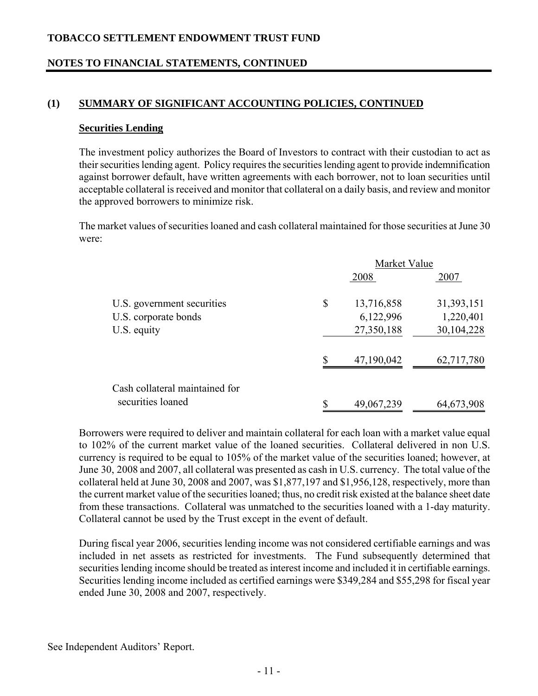# **NOTES TO FINANCIAL STATEMENTS, CONTINUED**

### **(1) SUMMARY OF SIGNIFICANT ACCOUNTING POLICIES, CONTINUED**

#### **Securities Lending**

The investment policy authorizes the Board of Investors to contract with their custodian to act as their securities lending agent. Policy requires the securities lending agent to provide indemnification against borrower default, have written agreements with each borrower, not to loan securities until acceptable collateral is received and monitor that collateral on a daily basis, and review and monitor the approved borrowers to minimize risk.

The market values of securities loaned and cash collateral maintained for those securities at June 30 were:

|                                |    | Market Value |              |
|--------------------------------|----|--------------|--------------|
|                                |    | 2008         | 2007         |
| U.S. government securities     | \$ | 13,716,858   | 31, 393, 151 |
| U.S. corporate bonds           |    | 6,122,996    | 1,220,401    |
| U.S. equity                    |    | 27,350,188   | 30,104,228   |
|                                | S  | 47,190,042   | 62,717,780   |
| Cash collateral maintained for |    |              |              |
| securities loaned              | \$ | 49,067,239   | 64,673,908   |

Borrowers were required to deliver and maintain collateral for each loan with a market value equal to 102% of the current market value of the loaned securities. Collateral delivered in non U.S. currency is required to be equal to 105% of the market value of the securities loaned; however, at June 30, 2008 and 2007, all collateral was presented as cash in U.S. currency. The total value of the collateral held at June 30, 2008 and 2007, was \$1,877,197 and \$1,956,128, respectively, more than the current market value of the securities loaned; thus, no credit risk existed at the balance sheet date from these transactions. Collateral was unmatched to the securities loaned with a 1-day maturity. Collateral cannot be used by the Trust except in the event of default.

During fiscal year 2006, securities lending income was not considered certifiable earnings and was included in net assets as restricted for investments. The Fund subsequently determined that securities lending income should be treated as interest income and included it in certifiable earnings. Securities lending income included as certified earnings were \$349,284 and \$55,298 for fiscal year ended June 30, 2008 and 2007, respectively.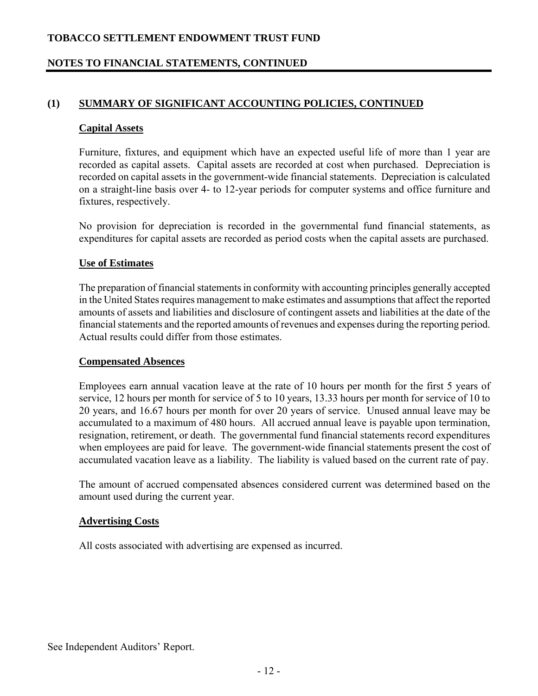# **NOTES TO FINANCIAL STATEMENTS, CONTINUED**

### **(1) SUMMARY OF SIGNIFICANT ACCOUNTING POLICIES, CONTINUED**

#### **Capital Assets**

Furniture, fixtures, and equipment which have an expected useful life of more than 1 year are recorded as capital assets. Capital assets are recorded at cost when purchased. Depreciation is recorded on capital assets in the government-wide financial statements. Depreciation is calculated on a straight-line basis over 4- to 12-year periods for computer systems and office furniture and fixtures, respectively.

No provision for depreciation is recorded in the governmental fund financial statements, as expenditures for capital assets are recorded as period costs when the capital assets are purchased.

#### **Use of Estimates**

The preparation of financial statements in conformity with accounting principles generally accepted in the United States requires management to make estimates and assumptions that affect the reported amounts of assets and liabilities and disclosure of contingent assets and liabilities at the date of the financial statements and the reported amounts of revenues and expenses during the reporting period. Actual results could differ from those estimates.

#### **Compensated Absences**

Employees earn annual vacation leave at the rate of 10 hours per month for the first 5 years of service, 12 hours per month for service of 5 to 10 years, 13.33 hours per month for service of 10 to 20 years, and 16.67 hours per month for over 20 years of service. Unused annual leave may be accumulated to a maximum of 480 hours. All accrued annual leave is payable upon termination, resignation, retirement, or death. The governmental fund financial statements record expenditures when employees are paid for leave. The government-wide financial statements present the cost of accumulated vacation leave as a liability. The liability is valued based on the current rate of pay.

The amount of accrued compensated absences considered current was determined based on the amount used during the current year.

#### **Advertising Costs**

All costs associated with advertising are expensed as incurred.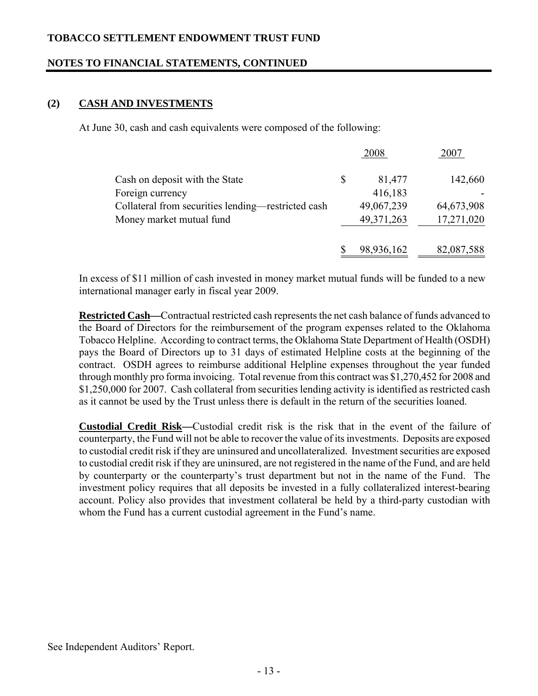# **NOTES TO FINANCIAL STATEMENTS, CONTINUED**

### **(2) CASH AND INVESTMENTS**

At June 30, cash and cash equivalents were composed of the following:

|                                                    |   | 2008         | 2007       |
|----------------------------------------------------|---|--------------|------------|
| Cash on deposit with the State                     | S | 81,477       | 142,660    |
| Foreign currency                                   |   | 416,183      |            |
| Collateral from securities lending—restricted cash |   | 49,067,239   | 64,673,908 |
| Money market mutual fund                           |   | 49, 371, 263 | 17,271,020 |
|                                                    |   | 98,936,162   | 82,087,588 |

In excess of \$11 million of cash invested in money market mutual funds will be funded to a new international manager early in fiscal year 2009.

**Restricted Cash—**Contractual restricted cash represents the net cash balance of funds advanced to the Board of Directors for the reimbursement of the program expenses related to the Oklahoma Tobacco Helpline. According to contract terms, the Oklahoma State Department of Health (OSDH) pays the Board of Directors up to 31 days of estimated Helpline costs at the beginning of the contract. OSDH agrees to reimburse additional Helpline expenses throughout the year funded through monthly pro forma invoicing. Total revenue from this contract was \$1,270,452 for 2008 and \$1,250,000 for 2007. Cash collateral from securities lending activity is identified as restricted cash as it cannot be used by the Trust unless there is default in the return of the securities loaned.

**Custodial Credit Risk—**Custodial credit risk is the risk that in the event of the failure of counterparty, the Fund will not be able to recover the value of its investments. Deposits are exposed to custodial credit risk if they are uninsured and uncollateralized. Investment securities are exposed to custodial credit risk if they are uninsured, are not registered in the name of the Fund, and are held by counterparty or the counterparty's trust department but not in the name of the Fund. The investment policy requires that all deposits be invested in a fully collateralized interest-bearing account. Policy also provides that investment collateral be held by a third-party custodian with whom the Fund has a current custodial agreement in the Fund's name.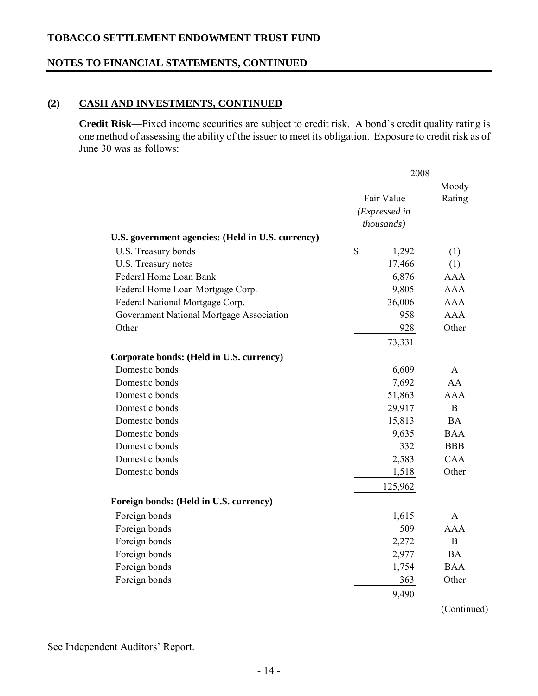# **NOTES TO FINANCIAL STATEMENTS, CONTINUED**

# **(2) CASH AND INVESTMENTS, CONTINUED**

**Credit Risk**—Fixed income securities are subject to credit risk. A bond's credit quality rating is one method of assessing the ability of the issuer to meet its obligation. Exposure to credit risk as of June 30 was as follows:

|                                                   | 2008         |               |              |
|---------------------------------------------------|--------------|---------------|--------------|
|                                                   |              |               | Moody        |
|                                                   |              | Fair Value    | Rating       |
|                                                   |              | (Expressed in |              |
|                                                   |              | thousands)    |              |
| U.S. government agencies: (Held in U.S. currency) |              |               |              |
| U.S. Treasury bonds                               | $\mathbb{S}$ | 1,292         | (1)          |
| U.S. Treasury notes                               |              | 17,466        | (1)          |
| Federal Home Loan Bank                            |              | 6,876         | <b>AAA</b>   |
| Federal Home Loan Mortgage Corp.                  |              | 9,805         | <b>AAA</b>   |
| Federal National Mortgage Corp.                   |              | 36,006        | <b>AAA</b>   |
| Government National Mortgage Association          |              | 958           | <b>AAA</b>   |
| Other                                             |              | 928           | Other        |
|                                                   |              | 73,331        |              |
| Corporate bonds: (Held in U.S. currency)          |              |               |              |
| Domestic bonds                                    |              | 6,609         | A            |
| Domestic bonds                                    |              | 7,692         | AA           |
| Domestic bonds                                    |              | 51,863        | <b>AAA</b>   |
| Domestic bonds                                    |              | 29,917        | B            |
| Domestic bonds                                    |              | 15,813        | <b>BA</b>    |
| Domestic bonds                                    |              | 9,635         | <b>BAA</b>   |
| Domestic bonds                                    |              | 332           | <b>BBB</b>   |
| Domestic bonds                                    |              | 2,583         | CAA          |
| Domestic bonds                                    |              | 1,518         | Other        |
|                                                   |              | 125,962       |              |
| Foreign bonds: (Held in U.S. currency)            |              |               |              |
| Foreign bonds                                     |              | 1,615         | A            |
| Foreign bonds                                     |              | 509           | <b>AAA</b>   |
| Foreign bonds                                     |              | 2,272         | $\mathbf{B}$ |
| Foreign bonds                                     |              | 2,977         | <b>BA</b>    |
| Foreign bonds                                     |              | 1,754         | <b>BAA</b>   |
| Foreign bonds                                     |              | 363           | Other        |
|                                                   |              | 9,490         |              |
|                                                   |              |               | (Continued)  |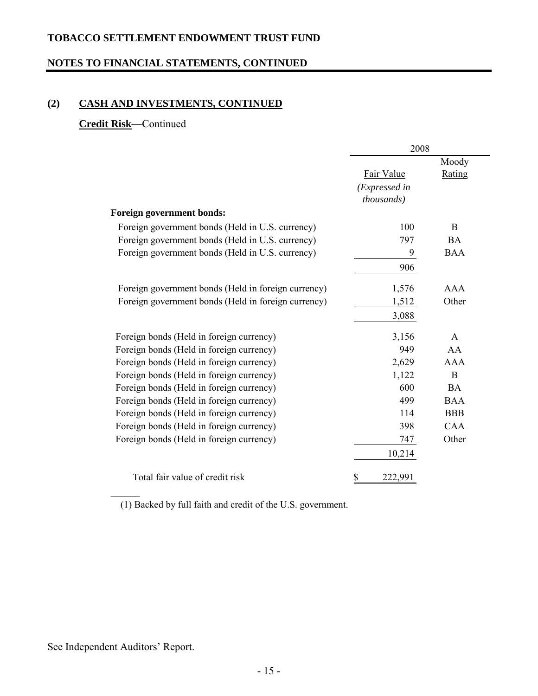# **NOTES TO FINANCIAL STATEMENTS, CONTINUED**

# **(2) CASH AND INVESTMENTS, CONTINUED**

# **Credit Risk**—Continued

|                                                     | 2008          |              |
|-----------------------------------------------------|---------------|--------------|
|                                                     |               | Moody        |
|                                                     | Fair Value    | Rating       |
|                                                     | (Expressed in |              |
|                                                     | thousands)    |              |
| Foreign government bonds:                           |               |              |
| Foreign government bonds (Held in U.S. currency)    | 100           | B            |
| Foreign government bonds (Held in U.S. currency)    | 797           | <b>BA</b>    |
| Foreign government bonds (Held in U.S. currency)    | 9             | <b>BAA</b>   |
|                                                     | 906           |              |
| Foreign government bonds (Held in foreign currency) | 1,576         | <b>AAA</b>   |
| Foreign government bonds (Held in foreign currency) | 1,512         | Other        |
|                                                     | 3,088         |              |
| Foreign bonds (Held in foreign currency)            | 3,156         | A            |
| Foreign bonds (Held in foreign currency)            | 949           | AA           |
| Foreign bonds (Held in foreign currency)            | 2,629         | AAA          |
| Foreign bonds (Held in foreign currency)            | 1,122         | <sub>B</sub> |
| Foreign bonds (Held in foreign currency)            | 600           | <b>BA</b>    |
| Foreign bonds (Held in foreign currency)            | 499           | <b>BAA</b>   |
| Foreign bonds (Held in foreign currency)            | 114           | <b>BBB</b>   |
| Foreign bonds (Held in foreign currency)            | 398           | <b>CAA</b>   |
| Foreign bonds (Held in foreign currency)            | 747           | Other        |
|                                                     | 10,214        |              |
| Total fair value of credit risk                     | \$<br>222.991 |              |

(1) Backed by full faith and credit of the U.S. government.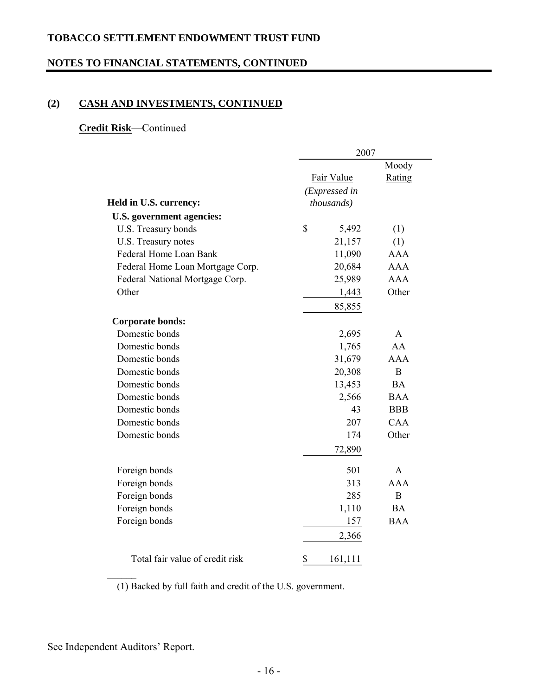# **NOTES TO FINANCIAL STATEMENTS, CONTINUED**

# **(2) CASH AND INVESTMENTS, CONTINUED**

# **Credit Risk**—Continued

|                                  | 2007 |               |            |
|----------------------------------|------|---------------|------------|
|                                  |      |               | Moody      |
|                                  |      | Fair Value    | Rating     |
|                                  |      | (Expressed in |            |
| Held in U.S. currency:           |      | thousands)    |            |
| U.S. government agencies:        |      |               |            |
| U.S. Treasury bonds              | \$   | 5,492         | (1)        |
| U.S. Treasury notes              |      | 21,157        | (1)        |
| Federal Home Loan Bank           |      | 11,090        | AAA        |
| Federal Home Loan Mortgage Corp. |      | 20,684        | <b>AAA</b> |
| Federal National Mortgage Corp.  |      | 25,989        | <b>AAA</b> |
| Other                            |      | 1,443         | Other      |
|                                  |      | 85,855        |            |
| <b>Corporate bonds:</b>          |      |               |            |
| Domestic bonds                   |      | 2,695         | A          |
| Domestic bonds                   |      | 1,765         | AA         |
| Domestic bonds                   |      | 31,679        | <b>AAA</b> |
| Domestic bonds                   |      | 20,308        | $\bf{B}$   |
| Domestic bonds                   |      | 13,453        | <b>BA</b>  |
| Domestic bonds                   |      | 2,566         | <b>BAA</b> |
| Domestic bonds                   |      | 43            | <b>BBB</b> |
| Domestic bonds                   |      | 207           | CAA        |
| Domestic bonds                   |      | 174           | Other      |
|                                  |      | 72,890        |            |
| Foreign bonds                    |      | 501           | A          |
| Foreign bonds                    |      | 313           | <b>AAA</b> |
| Foreign bonds                    |      | 285           | B          |
| Foreign bonds                    |      | 1,110         | <b>BA</b>  |
| Foreign bonds                    |      | 157           | <b>BAA</b> |
|                                  |      | 2,366         |            |
| Total fair value of credit risk  | \$   | 161,111       |            |
|                                  |      |               |            |

(1) Backed by full faith and credit of the U.S. government.

 $\frac{1}{2}$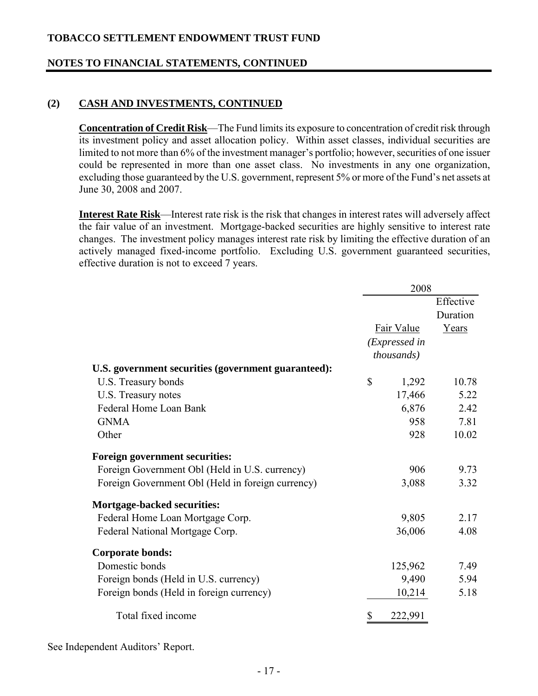# **NOTES TO FINANCIAL STATEMENTS, CONTINUED**

# **(2) CASH AND INVESTMENTS, CONTINUED**

**Concentration of Credit Risk**—The Fund limits its exposure to concentration of credit risk through its investment policy and asset allocation policy. Within asset classes, individual securities are limited to not more than 6% of the investment manager's portfolio; however, securities of one issuer could be represented in more than one asset class. No investments in any one organization, excluding those guaranteed by the U.S. government, represent 5% or more of the Fund's net assets at June 30, 2008 and 2007.

**Interest Rate Risk**—Interest rate risk is the risk that changes in interest rates will adversely affect the fair value of an investment. Mortgage-backed securities are highly sensitive to interest rate changes. The investment policy manages interest rate risk by limiting the effective duration of an actively managed fixed-income portfolio. Excluding U.S. government guaranteed securities, effective duration is not to exceed 7 years.

|                                                     | 2008         |               |           |
|-----------------------------------------------------|--------------|---------------|-----------|
|                                                     |              |               | Effective |
|                                                     |              |               | Duration  |
|                                                     |              | Fair Value    | Years     |
|                                                     |              | (Expressed in |           |
|                                                     |              | thousands)    |           |
| U.S. government securities (government guaranteed): |              |               |           |
| U.S. Treasury bonds                                 | $\mathbb{S}$ | 1,292         | 10.78     |
| U.S. Treasury notes                                 |              | 17,466        | 5.22      |
| Federal Home Loan Bank                              |              | 6,876         | 2.42      |
| <b>GNMA</b>                                         |              | 958           | 7.81      |
| Other                                               |              | 928           | 10.02     |
| Foreign government securities:                      |              |               |           |
| Foreign Government Obl (Held in U.S. currency)      |              | 906           | 9.73      |
| Foreign Government Obl (Held in foreign currency)   |              | 3,088         | 3.32      |
| <b>Mortgage-backed securities:</b>                  |              |               |           |
| Federal Home Loan Mortgage Corp.                    |              | 9,805         | 2.17      |
| Federal National Mortgage Corp.                     |              | 36,006        | 4.08      |
| <b>Corporate bonds:</b>                             |              |               |           |
| Domestic bonds                                      |              | 125,962       | 7.49      |
| Foreign bonds (Held in U.S. currency)               |              | 9,490         | 5.94      |
| Foreign bonds (Held in foreign currency)            |              | 10,214        | 5.18      |
| Total fixed income                                  | S            | 222,991       |           |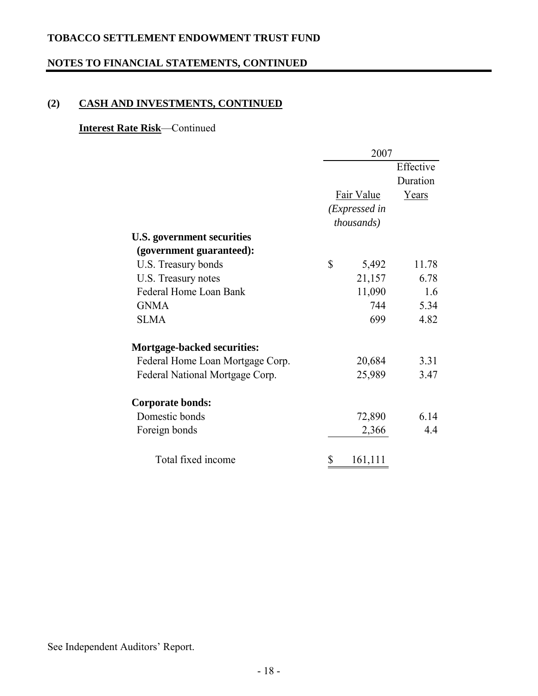# **NOTES TO FINANCIAL STATEMENTS, CONTINUED**

# **(2) CASH AND INVESTMENTS, CONTINUED**

# **Interest Rate Risk**—Continued

|                                    | 2007               |           |
|------------------------------------|--------------------|-----------|
|                                    |                    | Effective |
|                                    |                    | Duration  |
|                                    | Fair Value         | Years     |
|                                    | (Expressed in      |           |
|                                    | <i>thousands</i> ) |           |
| U.S. government securities         |                    |           |
| (government guaranteed):           |                    |           |
| U.S. Treasury bonds                | \$<br>5,492        | 11.78     |
| U.S. Treasury notes                | 21,157             | 6.78      |
| Federal Home Loan Bank             | 11,090             | 1.6       |
| <b>GNMA</b>                        | 744                | 5.34      |
| <b>SLMA</b>                        | 699                | 4.82      |
| <b>Mortgage-backed securities:</b> |                    |           |
| Federal Home Loan Mortgage Corp.   | 20,684             | 3.31      |
| Federal National Mortgage Corp.    | 25,989             | 3.47      |
| <b>Corporate bonds:</b>            |                    |           |
| Domestic bonds                     | 72,890             | 6.14      |
| Foreign bonds                      | 2,366              | 4.4       |
| Total fixed income                 | \$<br>161,111      |           |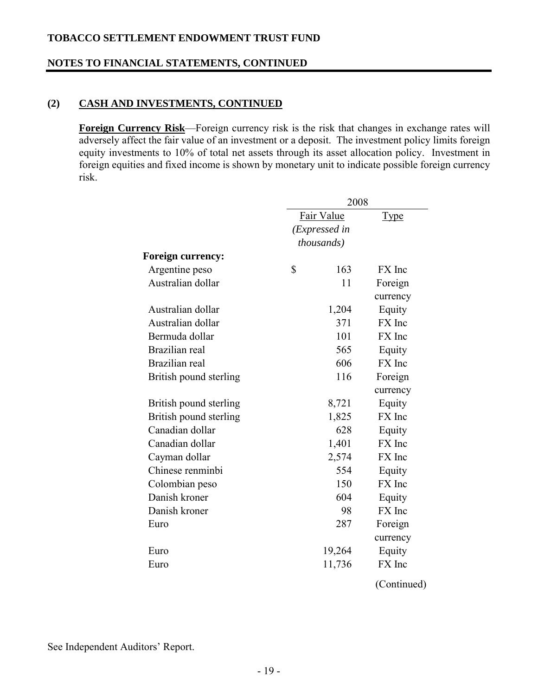# **NOTES TO FINANCIAL STATEMENTS, CONTINUED**

# **(2) CASH AND INVESTMENTS, CONTINUED**

**Foreign Currency Risk**—Foreign currency risk is the risk that changes in exchange rates will adversely affect the fair value of an investment or a deposit. The investment policy limits foreign equity investments to 10% of total net assets through its asset allocation policy. Investment in foreign equities and fixed income is shown by monetary unit to indicate possible foreign currency risk.

|                          | 2008               |             |  |
|--------------------------|--------------------|-------------|--|
|                          | Fair Value         | <b>Type</b> |  |
|                          | (Expressed in      |             |  |
|                          | <i>thousands</i> ) |             |  |
| <b>Foreign currency:</b> |                    |             |  |
| Argentine peso           | \$<br>163          | FX Inc      |  |
| Australian dollar        | 11                 | Foreign     |  |
|                          |                    | currency    |  |
| Australian dollar        | 1,204              | Equity      |  |
| Australian dollar        | 371                | FX Inc      |  |
| Bermuda dollar           | 101                | FX Inc      |  |
| Brazilian real           | 565                | Equity      |  |
| Brazilian real           | 606                | FX Inc      |  |
| British pound sterling   | 116                | Foreign     |  |
|                          |                    | currency    |  |
| British pound sterling   | 8,721              | Equity      |  |
| British pound sterling   | 1,825              | FX Inc      |  |
| Canadian dollar          | 628                | Equity      |  |
| Canadian dollar          | 1,401              | FX Inc      |  |
| Cayman dollar            | 2,574              | FX Inc      |  |
| Chinese renminbi         | 554                | Equity      |  |
| Colombian peso           | 150                | FX Inc      |  |
| Danish kroner            | 604                | Equity      |  |
| Danish kroner            | 98                 | FX Inc      |  |
| Euro                     | 287                | Foreign     |  |
|                          |                    | currency    |  |
| Euro                     | 19,264             | Equity      |  |
| Euro                     | 11,736             | FX Inc      |  |
|                          |                    | (Continued) |  |

(Continued)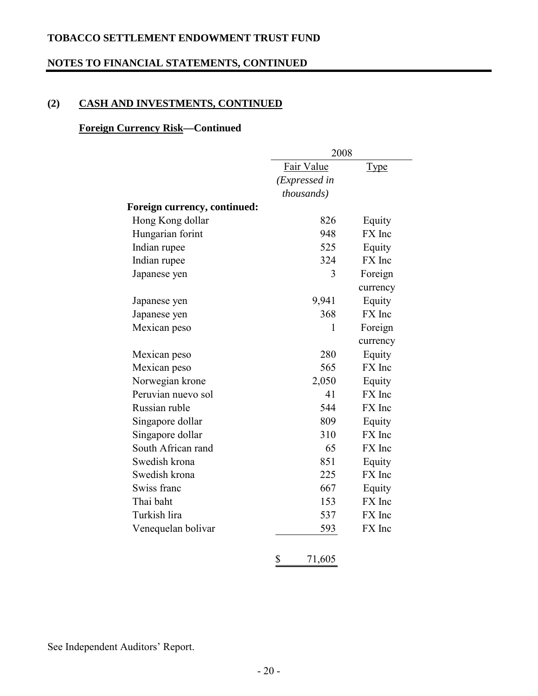# **NOTES TO FINANCIAL STATEMENTS, CONTINUED**

# **(2) CASH AND INVESTMENTS, CONTINUED**

# **Foreign Currency Risk—Continued**

|                                     | 2008               |             |  |
|-------------------------------------|--------------------|-------------|--|
|                                     | Fair Value         | <b>Type</b> |  |
|                                     | (Expressed in      |             |  |
|                                     | <i>thousands</i> ) |             |  |
| <b>Foreign currency, continued:</b> |                    |             |  |
| Hong Kong dollar                    | 826                | Equity      |  |
| Hungarian forint                    | 948                | FX Inc      |  |
| Indian rupee                        | 525                | Equity      |  |
| Indian rupee                        | 324                | FX Inc      |  |
| Japanese yen                        | 3                  | Foreign     |  |
|                                     |                    | currency    |  |
| Japanese yen                        | 9,941              | Equity      |  |
| Japanese yen                        | 368                | FX Inc      |  |
| Mexican peso                        | $\mathbf{1}$       | Foreign     |  |
|                                     |                    | currency    |  |
| Mexican peso                        | 280                | Equity      |  |
| Mexican peso                        | 565                | FX Inc      |  |
| Norwegian krone                     | 2,050              | Equity      |  |
| Peruvian nuevo sol                  | 41                 | FX Inc      |  |
| Russian ruble                       | 544                | FX Inc      |  |
| Singapore dollar                    | 809                | Equity      |  |
| Singapore dollar                    | 310                | FX Inc      |  |
| South African rand                  | 65                 | FX Inc      |  |
| Swedish krona                       | 851                | Equity      |  |
| Swedish krona                       | 225                | FX Inc      |  |
| Swiss franc                         | 667                | Equity      |  |
| Thai baht                           | 153                | FX Inc      |  |
| Turkish lira                        | 537                | FX Inc      |  |
| Venequelan bolivar                  | 593                | FX Inc      |  |
|                                     | \$<br>71,605       |             |  |

 $\overline{\phantom{0}}$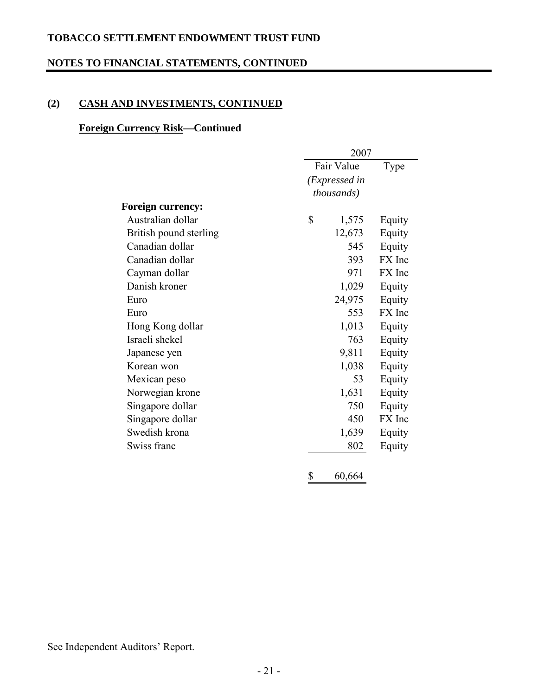# **NOTES TO FINANCIAL STATEMENTS, CONTINUED**

# **(2) CASH AND INVESTMENTS, CONTINUED**

# **Foreign Currency Risk—Continued**

|                          | 2007               |             |  |
|--------------------------|--------------------|-------------|--|
|                          | Fair Value         | <b>Type</b> |  |
|                          | (Expressed in      |             |  |
|                          | <i>thousands</i> ) |             |  |
| <b>Foreign currency:</b> |                    |             |  |
| Australian dollar        | \$<br>1,575        | Equity      |  |
| British pound sterling   | 12,673             | Equity      |  |
| Canadian dollar          | 545                | Equity      |  |
| Canadian dollar          | 393                | FX Inc      |  |
| Cayman dollar            | 971                | FX Inc      |  |
| Danish kroner            | 1,029              | Equity      |  |
| Euro                     | 24,975             | Equity      |  |
| Euro                     | 553                | FX Inc      |  |
| Hong Kong dollar         | 1,013              | Equity      |  |
| Israeli shekel           | 763                | Equity      |  |
| Japanese yen             | 9,811              | Equity      |  |
| Korean won               | 1,038              | Equity      |  |
| Mexican peso             | 53                 | Equity      |  |
| Norwegian krone          | 1,631              | Equity      |  |
| Singapore dollar         | 750                | Equity      |  |
| Singapore dollar         | 450                | FX Inc      |  |
| Swedish krona            | 1,639              | Equity      |  |
| Swiss franc              | 802                | Equity      |  |
|                          |                    |             |  |

 $$ 60,664$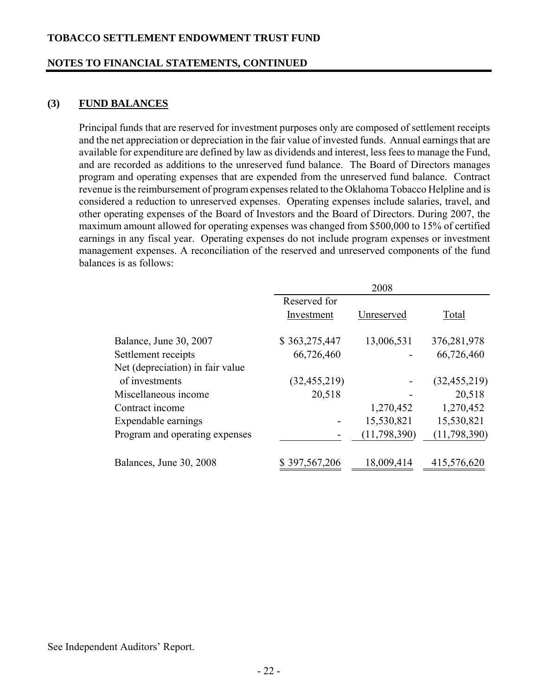### **NOTES TO FINANCIAL STATEMENTS, CONTINUED**

### **(3) FUND BALANCES**

Principal funds that are reserved for investment purposes only are composed of settlement receipts and the net appreciation or depreciation in the fair value of invested funds. Annual earnings that are available for expenditure are defined by law as dividends and interest, less fees to manage the Fund, and are recorded as additions to the unreserved fund balance. The Board of Directors manages program and operating expenses that are expended from the unreserved fund balance. Contract revenue is the reimbursement of program expenses related to the Oklahoma Tobacco Helpline and is considered a reduction to unreserved expenses. Operating expenses include salaries, travel, and other operating expenses of the Board of Investors and the Board of Directors. During 2007, the maximum amount allowed for operating expenses was changed from \$500,000 to 15% of certified earnings in any fiscal year. Operating expenses do not include program expenses or investment management expenses. A reconciliation of the reserved and unreserved components of the fund balances is as follows:

|                                  | 2008           |                |                |  |  |
|----------------------------------|----------------|----------------|----------------|--|--|
|                                  | Reserved for   |                |                |  |  |
|                                  | Investment     | Unreserved     | Total          |  |  |
| Balance, June 30, 2007           | \$363,275,447  | 13,006,531     | 376,281,978    |  |  |
| Settlement receipts              | 66,726,460     |                | 66,726,460     |  |  |
| Net (depreciation) in fair value |                |                |                |  |  |
| of investments                   | (32, 455, 219) |                | (32, 455, 219) |  |  |
| Miscellaneous income             | 20,518         |                | 20,518         |  |  |
| Contract income                  |                | 1,270,452      | 1,270,452      |  |  |
| Expendable earnings              |                | 15,530,821     | 15,530,821     |  |  |
| Program and operating expenses   |                | (11, 798, 390) | (11,798,390)   |  |  |
| Balances, June 30, 2008          | \$397,567,206  | 18,009,414     | 415,576,620    |  |  |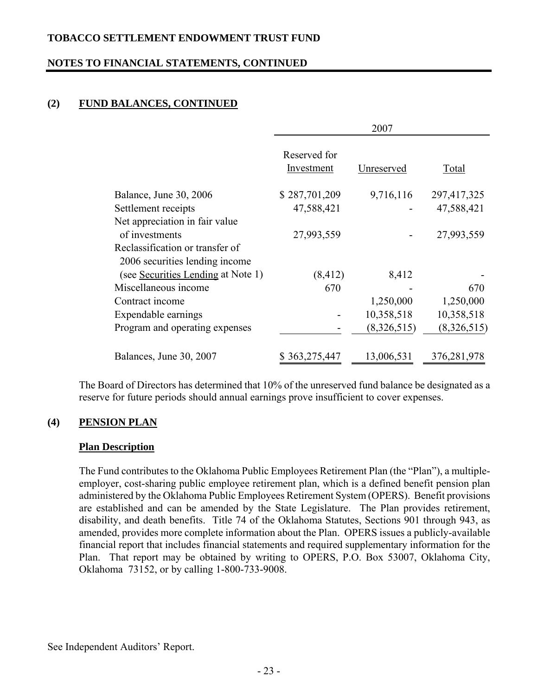# **NOTES TO FINANCIAL STATEMENTS, CONTINUED**

# **(2) FUND BALANCES, CONTINUED**

|                                                                                                                       | 2007                       |             |             |  |
|-----------------------------------------------------------------------------------------------------------------------|----------------------------|-------------|-------------|--|
|                                                                                                                       | Reserved for<br>Investment | Unreserved  | Total       |  |
| Balance, June 30, 2006                                                                                                | \$287,701,209              | 9,716,116   | 297,417,325 |  |
| Settlement receipts                                                                                                   | 47,588,421                 |             | 47,588,421  |  |
| Net appreciation in fair value<br>of investments<br>Reclassification or transfer of<br>2006 securities lending income | 27,993,559                 |             | 27,993,559  |  |
| (see Securities Lending at Note 1)                                                                                    | (8, 412)                   | 8,412       |             |  |
| Miscellaneous income                                                                                                  | 670                        |             | 670         |  |
| Contract income                                                                                                       |                            | 1,250,000   | 1,250,000   |  |
| Expendable earnings                                                                                                   |                            | 10,358,518  | 10,358,518  |  |
| Program and operating expenses                                                                                        |                            | (8,326,515) | (8,326,515) |  |
| Balances, June 30, 2007                                                                                               | \$363,275,447              | 13,006,531  | 376,281,978 |  |

The Board of Directors has determined that 10% of the unreserved fund balance be designated as a reserve for future periods should annual earnings prove insufficient to cover expenses.

# **(4) PENSION PLAN**

#### **Plan Description**

The Fund contributes to the Oklahoma Public Employees Retirement Plan (the "Plan"), a multipleemployer, cost-sharing public employee retirement plan, which is a defined benefit pension plan administered by the Oklahoma Public Employees Retirement System (OPERS). Benefit provisions are established and can be amended by the State Legislature. The Plan provides retirement, disability, and death benefits. Title 74 of the Oklahoma Statutes, Sections 901 through 943, as amended, provides more complete information about the Plan. OPERS issues a publicly-available financial report that includes financial statements and required supplementary information for the Plan. That report may be obtained by writing to OPERS, P.O. Box 53007, Oklahoma City, Oklahoma 73152, or by calling 1-800-733-9008.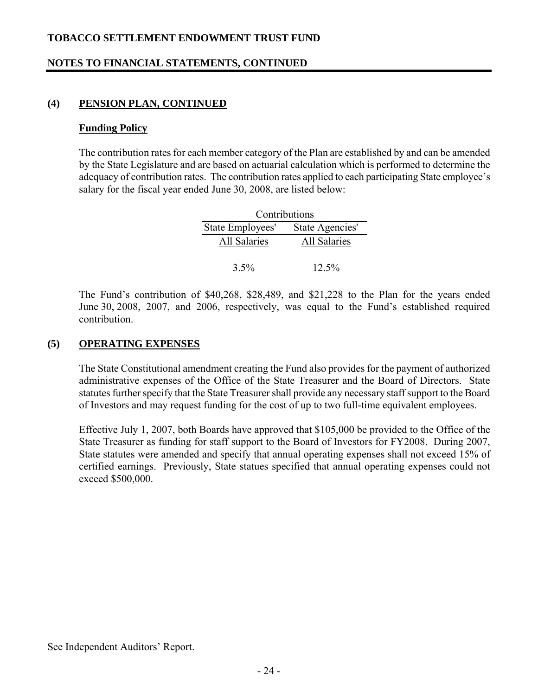# **NOTES TO FINANCIAL STATEMENTS, CONTINUED**

### **(4) PENSION PLAN, CONTINUED**

#### **Funding Policy**

The contribution rates for each member category of the Plan are established by and can be amended by the State Legislature and are based on actuarial calculation which is performed to determine the adequacy of contribution rates. The contribution rates applied to each participating State employee's salary for the fiscal year ended June 30, 2008, are listed below:

| Contributions    |                 |
|------------------|-----------------|
| State Employees' | State Agencies' |
| All Salaries     | All Salaries    |
| $3.5\%$          | $12.5\%$        |

The Fund's contribution of \$40,268, \$28,489, and \$21,228 to the Plan for the years ended June 30, 2008, 2007, and 2006, respectively, was equal to the Fund's established required contribution.

#### **(5) OPERATING EXPENSES**

The State Constitutional amendment creating the Fund also provides for the payment of authorized administrative expenses of the Office of the State Treasurer and the Board of Directors. State statutes further specify that the State Treasurer shall provide any necessary staff support to the Board of Investors and may request funding for the cost of up to two full-time equivalent employees.

Effective July 1, 2007, both Boards have approved that \$105,000 be provided to the Office of the State Treasurer as funding for staff support to the Board of Investors for FY2008. During 2007, State statutes were amended and specify that annual operating expenses shall not exceed 15% of certified earnings. Previously, State statues specified that annual operating expenses could not exceed \$500,000.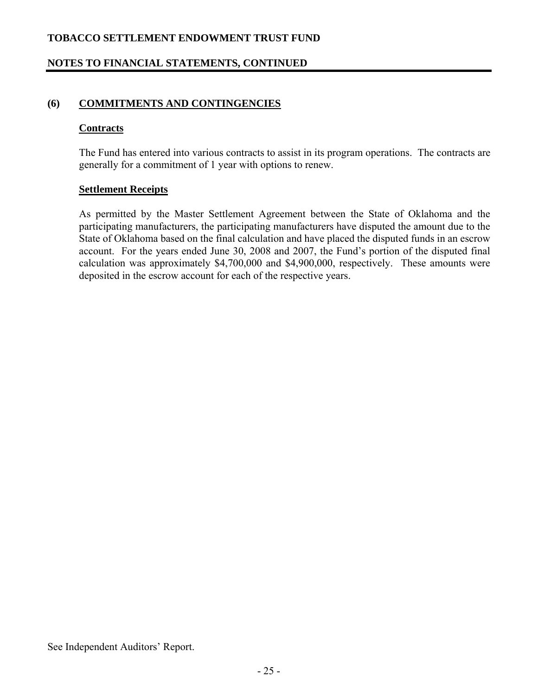# **NOTES TO FINANCIAL STATEMENTS, CONTINUED**

# **(6) COMMITMENTS AND CONTINGENCIES**

#### **Contracts**

The Fund has entered into various contracts to assist in its program operations. The contracts are generally for a commitment of 1 year with options to renew.

#### **Settlement Receipts**

As permitted by the Master Settlement Agreement between the State of Oklahoma and the participating manufacturers, the participating manufacturers have disputed the amount due to the State of Oklahoma based on the final calculation and have placed the disputed funds in an escrow account. For the years ended June 30, 2008 and 2007, the Fund's portion of the disputed final calculation was approximately \$4,700,000 and \$4,900,000, respectively. These amounts were deposited in the escrow account for each of the respective years.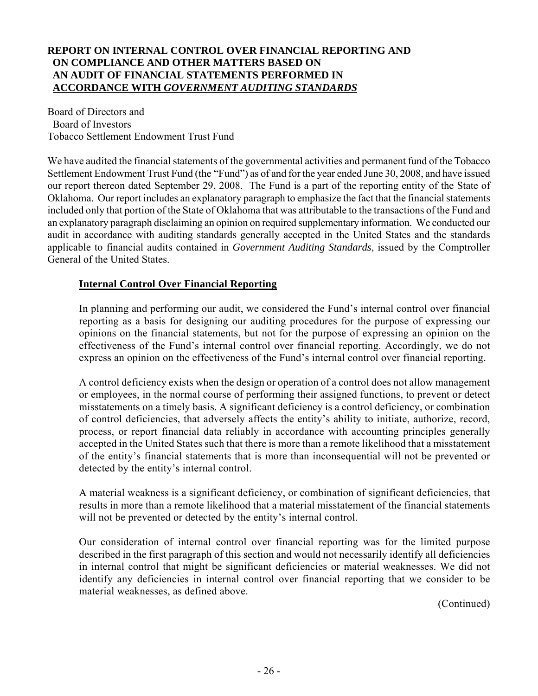### **REPORT ON INTERNAL CONTROL OVER FINANCIAL REPORTING AND ON COMPLIANCE AND OTHER MATTERS BASED ON AN AUDIT OF FINANCIAL STATEMENTS PERFORMED IN ACCORDANCE WITH** *GOVERNMENT AUDITING STANDARDS*

Board of Directors and Board of Investors Tobacco Settlement Endowment Trust Fund

We have audited the financial statements of the governmental activities and permanent fund of the Tobacco Settlement Endowment Trust Fund (the "Fund") as of and for the year ended June 30, 2008, and have issued our report thereon dated September 29, 2008. The Fund is a part of the reporting entity of the State of Oklahoma. Our report includes an explanatory paragraph to emphasize the fact that the financial statements included only that portion of the State of Oklahoma that was attributable to the transactions of the Fund and an explanatory paragraph disclaiming an opinion on required supplementary information. We conducted our audit in accordance with auditing standards generally accepted in the United States and the standards applicable to financial audits contained in *Government Auditing Standards*, issued by the Comptroller General of the United States.

# **Internal Control Over Financial Reporting**

In planning and performing our audit, we considered the Fund's internal control over financial reporting as a basis for designing our auditing procedures for the purpose of expressing our opinions on the financial statements, but not for the purpose of expressing an opinion on the effectiveness of the Fund's internal control over financial reporting. Accordingly, we do not express an opinion on the effectiveness of the Fund's internal control over financial reporting.

A control deficiency exists when the design or operation of a control does not allow management or employees, in the normal course of performing their assigned functions, to prevent or detect misstatements on a timely basis. A significant deficiency is a control deficiency, or combination of control deficiencies, that adversely affects the entity's ability to initiate, authorize, record, process, or report financial data reliably in accordance with accounting principles generally accepted in the United States such that there is more than a remote likelihood that a misstatement of the entity's financial statements that is more than inconsequential will not be prevented or detected by the entity's internal control.

A material weakness is a significant deficiency, or combination of significant deficiencies, that results in more than a remote likelihood that a material misstatement of the financial statements will not be prevented or detected by the entity's internal control.

Our consideration of internal control over financial reporting was for the limited purpose described in the first paragraph of this section and would not necessarily identify all deficiencies in internal control that might be significant deficiencies or material weaknesses. We did not identify any deficiencies in internal control over financial reporting that we consider to be material weaknesses, as defined above.

(Continued)